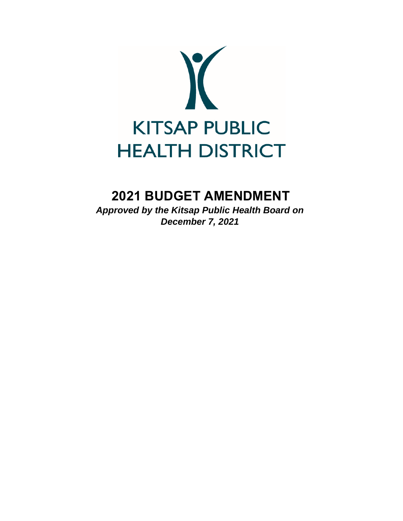

# **2021 BUDGET AMENDMENT**

*Approved by the Kitsap Public Health Board on December 7, 2021*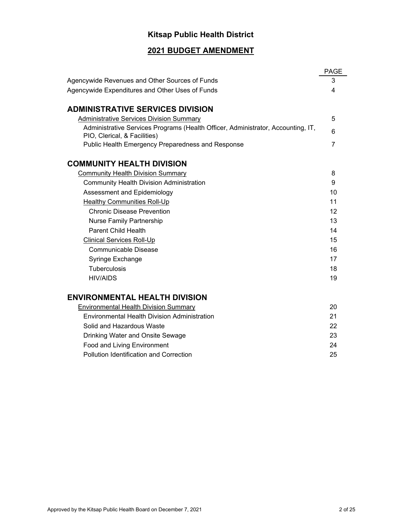# **Kitsap Public Health District**

# **2021 BUDGET AMENDMENT**

|                                                                                                                  | <b>PAGE</b>    |
|------------------------------------------------------------------------------------------------------------------|----------------|
| Agencywide Revenues and Other Sources of Funds                                                                   | 3              |
| Agencywide Expenditures and Other Uses of Funds                                                                  | 4              |
|                                                                                                                  |                |
| <b>ADMINISTRATIVE SERVICES DIVISION</b>                                                                          |                |
| <b>Administrative Services Division Summary</b>                                                                  | 5              |
| Administrative Services Programs (Health Officer, Administrator, Accounting, IT,<br>PIO, Clerical, & Facilities) | 6              |
| Public Health Emergency Preparedness and Response                                                                | $\overline{7}$ |
| <b>COMMUNITY HEALTH DIVISION</b>                                                                                 |                |
| <b>Community Health Division Summary</b>                                                                         | 8              |
| <b>Community Health Division Administration</b>                                                                  | 9              |
| Assessment and Epidemiology                                                                                      | 10             |
| <b>Healthy Communities Roll-Up</b>                                                                               | 11             |
| <b>Chronic Disease Prevention</b>                                                                                | 12             |
| <b>Nurse Family Partnership</b>                                                                                  | 13             |
| <b>Parent Child Health</b>                                                                                       | 14             |
| <b>Clinical Services Roll-Up</b>                                                                                 | 15             |
| Communicable Disease                                                                                             | 16             |
| Syringe Exchange                                                                                                 | 17             |
| <b>Tuberculosis</b>                                                                                              | 18             |
| <b>HIV/AIDS</b>                                                                                                  | 19             |
| <b>ENVIRONMENTAL HEALTH DIVISION</b>                                                                             |                |
| <b>Environmental Health Division Summary</b>                                                                     | 20             |
| <b>Environmental Health Division Administration</b>                                                              | 21             |
| Solid and Hazardous Waste                                                                                        | 22             |
| Drinking Water and Onsite Sewage                                                                                 | 23             |
| <b>Food and Living Environment</b>                                                                               | 24             |
| <b>Pollution Identification and Correction</b>                                                                   | 25             |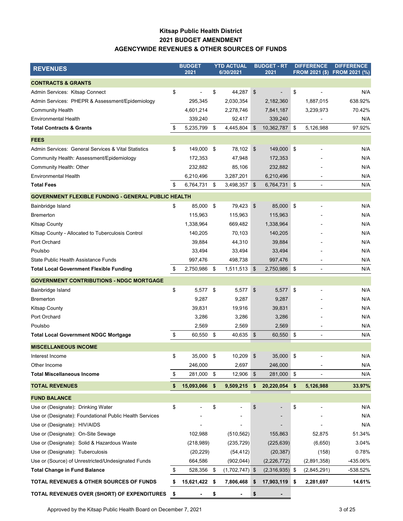### **Kitsap Public Health District 2021 BUDGET AMENDMENT AGENCYWIDE REVENUES & OTHER SOURCES OF FUNDS**

| <b>REVENUES</b>                                            | <b>BUDGET</b><br>2021 |    | <b>YTD ACTUAL</b><br>6/30/2021 |                           | <b>BUDGET - RT</b><br>2021 | <b>DIFFERENCE</b><br>FROM 2021 (\$) FROM 2021 (%) |                          | <b>DIFFERENCE</b> |
|------------------------------------------------------------|-----------------------|----|--------------------------------|---------------------------|----------------------------|---------------------------------------------------|--------------------------|-------------------|
| <b>CONTRACTS &amp; GRANTS</b>                              |                       |    |                                |                           |                            |                                                   |                          |                   |
| Admin Services: Kitsap Connect                             | \$                    | \$ | 44,287                         | \$                        |                            | \$                                                |                          | N/A               |
| Admin Services: PHEPR & Assessment/Epidemiology            | 295,345               |    | 2,030,354                      |                           | 2,182,360                  |                                                   | 1,887,015                | 638.92%           |
| <b>Community Health</b>                                    | 4,601,214             |    | 2,278,746                      |                           | 7,841,187                  |                                                   | 3,239,973                | 70.42%            |
| <b>Environmental Health</b>                                | 339,240               |    | 92,417                         |                           | 339,240                    |                                                   |                          | N/A               |
| <b>Total Contracts &amp; Grants</b>                        | \$<br>5,235,799       | \$ | 4,445,804                      | \$                        | 10,362,787 \$              |                                                   | 5,126,988                | 97.92%            |
| <b>FEES</b>                                                |                       |    |                                |                           |                            |                                                   |                          |                   |
| Admin Services: General Services & Vital Statistics        | \$<br>149,000         | \$ | 78,102                         | \$                        | 149,000                    | ∣\$                                               |                          | N/A               |
| Community Health: Assessment/Epidemiology                  | 172,353               |    | 47,948                         |                           | 172,353                    |                                                   |                          | N/A               |
| Community Health: Other                                    | 232,882               |    | 85,106                         |                           | 232,882                    |                                                   |                          | N/A               |
| <b>Environmental Health</b>                                | 6,210,496             |    | 3,287,201                      |                           | 6,210,496                  |                                                   |                          | N/A               |
| <b>Total Fees</b>                                          | \$<br>6,764,731 \$    |    | 3,498,357                      | \$                        | 6,764,731 \$               |                                                   |                          | N/A               |
| <b>GOVERNMENT FLEXIBLE FUNDING - GENERAL PUBLIC HEALTH</b> |                       |    |                                |                           |                            |                                                   |                          |                   |
| Bainbridge Island                                          | \$<br>85,000          | \$ | 79,423                         | $\boldsymbol{\mathsf{S}}$ | 85,000 \$                  |                                                   |                          | N/A               |
| <b>Bremerton</b>                                           | 115,963               |    | 115,963                        |                           | 115,963                    |                                                   |                          | N/A               |
| <b>Kitsap County</b>                                       | 1,338,964             |    | 669,482                        |                           | 1,338,964                  |                                                   |                          | N/A               |
| Kitsap County - Allocated to Tuberculosis Control          | 140,205               |    | 70,103                         |                           | 140,205                    |                                                   |                          | N/A               |
| Port Orchard                                               | 39,884                |    | 44,310                         |                           | 39,884                     |                                                   |                          | N/A               |
| Poulsbo                                                    | 33,494                |    | 33,494                         |                           | 33,494                     |                                                   |                          | N/A               |
| State Public Health Assistance Funds                       | 997,476               |    | 498,738                        |                           | 997,476                    |                                                   |                          | N/A               |
| <b>Total Local Government Flexible Funding</b>             | \$<br>2,750,986       | \$ | 1,511,513                      | $\boldsymbol{\mathsf{S}}$ | 2,750,986                  | \$                                                |                          | N/A               |
| <b>GOVERNMENT CONTRIBUTIONS - NDGC MORTGAGE</b>            |                       |    |                                |                           |                            |                                                   |                          |                   |
| Bainbridge Island                                          | \$<br>5,577           | \$ | 5,577                          | \$                        | 5,577                      | \$                                                |                          | N/A               |
| <b>Bremerton</b>                                           | 9,287                 |    | 9,287                          |                           | 9,287                      |                                                   |                          | N/A               |
| <b>Kitsap County</b>                                       | 39,831                |    | 19,916                         |                           | 39,831                     |                                                   |                          | N/A               |
| Port Orchard                                               | 3,286                 |    | 3,286                          |                           | 3,286                      |                                                   |                          | N/A               |
| Poulsbo                                                    | 2,569                 |    | 2,569                          |                           | 2,569                      |                                                   |                          | N/A               |
| <b>Total Local Government NDGC Mortgage</b>                | \$<br>60,550 \$       |    | 40,635                         | \$                        | 60,550                     | \$                                                | $\overline{\phantom{a}}$ | N/A               |
| <b>MISCELLANEOUS INCOME</b>                                |                       |    |                                |                           |                            |                                                   |                          |                   |
| Interest Income                                            | \$<br>35,000          | \$ | 10,209                         | \$                        | 35,000 \$                  |                                                   |                          | N/A               |
| Other Income                                               | 246,000               |    | 2,697                          |                           | 246,000                    |                                                   |                          | N/A               |
| <b>Total Miscellaneous Income</b>                          | \$<br>281,000         | \$ | 12,906                         | \$                        | 281,000 \$                 |                                                   |                          | N/A               |
| <b>TOTAL REVENUES</b>                                      | \$<br>15,093,066      | \$ | 9,509,215                      | \$                        | 20,220,054                 | \$                                                | 5,126,988                | 33.97%            |
| <b>FUND BALANCE</b>                                        |                       |    |                                |                           |                            |                                                   |                          |                   |
| Use or (Designate): Drinking Water                         | \$                    | \$ |                                | \$                        |                            | \$                                                |                          | N/A               |
| Use or (Designate): Foundational Public Health Services    |                       |    |                                |                           |                            |                                                   |                          | N/A               |
| Use or (Designate): HIV/AIDS                               |                       |    |                                |                           |                            |                                                   |                          | N/A               |
| Use or (Designate): On-Site Sewage                         | 102,988               |    | (510, 562)                     |                           | 155,863                    |                                                   | 52,875                   | 51.34%            |
| Use or (Designate): Solid & Hazardous Waste                | (218,989)             |    | (235, 729)                     |                           | (225, 639)                 |                                                   | (6,650)                  | 3.04%             |
| Use or (Designate): Tuberculosis                           | (20, 229)             |    | (54, 412)                      |                           | (20, 387)                  |                                                   | (158)                    | 0.78%             |
| Use or (Source) of Unrestricted/Undesignated Funds         | 664,586               |    | (902, 044)                     |                           | (2,226,772)                |                                                   | (2,891,358)              | -435.06%          |
| <b>Total Change in Fund Balance</b>                        | \$<br>528,356         | \$ | $(1,702,747)$ \$               |                           | $(2,316,935)$ \$           |                                                   | (2,845,291)              | -538.52%          |
| TOTAL REVENUES & OTHER SOURCES OF FUNDS                    | \$<br>15,621,422      | \$ | 7,806,468                      | \$                        | 17,903,119 \$              |                                                   | 2,281,697                | 14.61%            |
| TOTAL REVENUES OVER (SHORT) OF EXPENDITURES \$             |                       | \$ |                                | \$                        |                            |                                                   |                          |                   |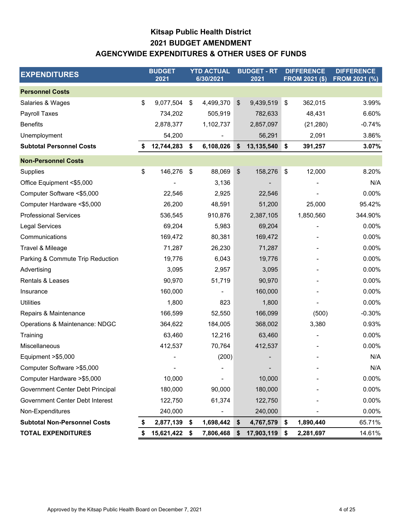# **Kitsap Public Health District AGENCYWIDE EXPENDITURES & OTHER USES OF FUNDS 2021 BUDGET AMENDMENT**

| <b>EXPENDITURES</b>                 |    | <b>BUDGET</b><br>2021 | <b>YTD ACTUAL</b><br>6/30/2021 |               | <b>BUDGET - RT</b><br>2021 | <b>DIFFERENCE</b><br><b>FROM 2021 (\$)</b> | <b>DIFFERENCE</b><br><b>FROM 2021 (%)</b> |
|-------------------------------------|----|-----------------------|--------------------------------|---------------|----------------------------|--------------------------------------------|-------------------------------------------|
| <b>Personnel Costs</b>              |    |                       |                                |               |                            |                                            |                                           |
| Salaries & Wages                    | \$ | 9,077,504             | \$<br>4,499,370                | \$            | 9,439,519                  | \$<br>362,015                              | 3.99%                                     |
| Payroll Taxes                       |    | 734,202               | 505,919                        |               | 782,633                    | 48,431                                     | 6.60%                                     |
| <b>Benefits</b>                     |    | 2,878,377             | 1,102,737                      |               | 2,857,097                  | (21, 280)                                  | $-0.74%$                                  |
| Unemployment                        |    | 54,200                |                                |               | 56,291                     | 2,091                                      | 3.86%                                     |
| <b>Subtotal Personnel Costs</b>     |    | 12,744,283            | \$<br>6,108,026                | \$            | 13,135,540                 | \$<br>391,257                              | 3.07%                                     |
| <b>Non-Personnel Costs</b>          |    |                       |                                |               |                            |                                            |                                           |
| Supplies                            | \$ | 146,276               | \$<br>88,069                   | $\frac{1}{2}$ | 158,276                    | \$<br>12,000                               | 8.20%                                     |
| Office Equipment <\$5,000           |    |                       | 3,136                          |               |                            |                                            | N/A                                       |
| Computer Software <\$5,000          |    | 22,546                | 2,925                          |               | 22,546                     |                                            | 0.00%                                     |
| Computer Hardware <\$5,000          |    | 26,200                | 48,591                         |               | 51,200                     | 25,000                                     | 95.42%                                    |
| <b>Professional Services</b>        |    | 536,545               | 910,876                        |               | 2,387,105                  | 1,850,560                                  | 344.90%                                   |
| <b>Legal Services</b>               |    | 69,204                | 5,983                          |               | 69,204                     |                                            | 0.00%                                     |
| Communications                      |    | 169,472               | 80,381                         |               | 169,472                    |                                            | 0.00%                                     |
| Travel & Mileage                    |    | 71,287                | 26,230                         |               | 71,287                     |                                            | 0.00%                                     |
| Parking & Commute Trip Reduction    |    | 19,776                | 6,043                          |               | 19,776                     |                                            | 0.00%                                     |
| Advertising                         |    | 3,095                 | 2,957                          |               | 3,095                      |                                            | 0.00%                                     |
| Rentals & Leases                    |    | 90,970                | 51,719                         |               | 90,970                     |                                            | 0.00%                                     |
| Insurance                           |    | 160,000               |                                |               | 160,000                    |                                            | 0.00%                                     |
| <b>Utilities</b>                    |    | 1,800                 | 823                            |               | 1,800                      |                                            | 0.00%                                     |
| Repairs & Maintenance               |    | 166,599               | 52,550                         |               | 166,099                    | (500)                                      | $-0.30%$                                  |
| Operations & Maintenance: NDGC      |    | 364,622               | 184,005                        |               | 368,002                    | 3,380                                      | 0.93%                                     |
| Training                            |    | 63,460                | 12,216                         |               | 63,460                     |                                            | 0.00%                                     |
| Miscellaneous                       |    | 412,537               | 70,764                         |               | 412,537                    |                                            | 0.00%                                     |
| Equipment >\$5,000                  |    |                       | (200)                          |               |                            |                                            | N/A                                       |
| Computer Software >\$5,000          |    |                       |                                |               |                            |                                            | N/A                                       |
| Computer Hardware > \$5,000         |    | 10,000                |                                |               | 10,000                     |                                            | 0.00%                                     |
| Government Center Debt Principal    |    | 180,000               | 90,000                         |               | 180,000                    |                                            | 0.00%                                     |
| Government Center Debt Interest     |    | 122,750               | 61,374                         |               | 122,750                    |                                            | 0.00%                                     |
| Non-Expenditures                    |    | 240,000               |                                |               | 240,000                    |                                            | 0.00%                                     |
| <b>Subtotal Non-Personnel Costs</b> |    | 2,877,139             | \$<br>1,698,442                | \$            | 4,767,579                  | \$<br>1,890,440                            | 65.71%                                    |
| <b>TOTAL EXPENDITURES</b>           | S  | 15,621,422            | \$<br>7,806,468                | \$            | 17,903,119                 | \$<br>2,281,697                            | 14.61%                                    |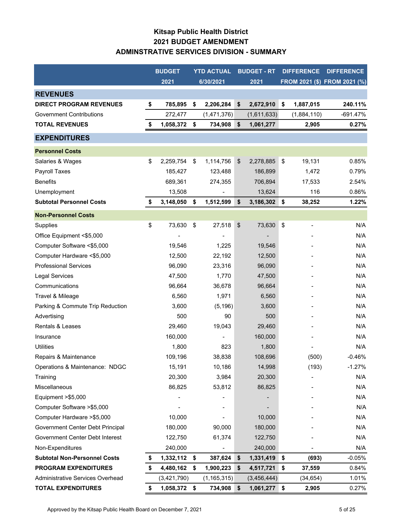# **Kitsap Public Health District 2021 BUDGET AMENDMENT ADMINSTRATIVE SERVICES DIVISION - SUMMARY**

|                                     | <b>BUDGET</b>      |      | <b>YTD ACTUAL</b> |               | <b>BUDGET - RT</b> |                           | <b>DIFFERENCE</b> | <b>DIFFERENCE</b>            |
|-------------------------------------|--------------------|------|-------------------|---------------|--------------------|---------------------------|-------------------|------------------------------|
|                                     | 2021               |      | 6/30/2021         |               | 2021               |                           |                   | FROM 2021 (\$) FROM 2021 (%) |
| <b>REVENUES</b>                     |                    |      |                   |               |                    |                           |                   |                              |
| <b>DIRECT PROGRAM REVENUES</b>      | \$<br>785,895      | \$   | 2,206,284         | \$            | 2,672,910          | \$                        | 1,887,015         | 240.11%                      |
| <b>Government Contributions</b>     | 272,477            |      | (1,471,376)       |               | (1,611,633)        |                           | (1,884,110)       | $-691.47%$                   |
| <b>TOTAL REVENUES</b>               | \$<br>1,058,372    | - \$ | 734,908           | \$            | 1,061,277          |                           | 2,905             | 0.27%                        |
| <b>EXPENDITURES</b>                 |                    |      |                   |               |                    |                           |                   |                              |
| <b>Personnel Costs</b>              |                    |      |                   |               |                    |                           |                   |                              |
| Salaries & Wages                    | \$<br>2,259,754    | \$   | 1,114,756         | $\frac{1}{2}$ | 2,278,885          | \$                        | 19,131            | 0.85%                        |
| Payroll Taxes                       | 185,427            |      | 123,488           |               | 186,899            |                           | 1,472             | 0.79%                        |
| <b>Benefits</b>                     | 689,361            |      | 274,355           |               | 706,894            |                           | 17,533            | 2.54%                        |
| Unemployment                        | 13,508             |      |                   |               | 13,624             |                           | 116               | 0.86%                        |
| <b>Subtotal Personnel Costs</b>     | \$<br>3,148,050    | \$   | 1,512,599         | \$            | 3,186,302          | $\sqrt{5}$                | 38,252            | 1.22%                        |
| <b>Non-Personnel Costs</b>          |                    |      |                   |               |                    |                           |                   |                              |
| Supplies                            | \$<br>73,630       | \$   | 27,518            | \$            | 73,630             | $\boldsymbol{\mathsf{S}}$ |                   | N/A                          |
| Office Equipment <\$5,000           |                    |      |                   |               |                    |                           |                   | N/A                          |
| Computer Software <\$5,000          | 19,546             |      | 1,225             |               | 19,546             |                           |                   | N/A                          |
| Computer Hardware <\$5,000          | 12,500             |      | 22,192            |               | 12,500             |                           |                   | N/A                          |
| <b>Professional Services</b>        | 96,090             |      | 23,316            |               | 96,090             |                           |                   | N/A                          |
| <b>Legal Services</b>               | 47,500             |      | 1,770             |               | 47,500             |                           |                   | N/A                          |
| Communications                      | 96,664             |      | 36,678            |               | 96,664             |                           |                   | N/A                          |
| Travel & Mileage                    | 6,560              |      | 1,971             |               | 6,560              |                           |                   | N/A                          |
| Parking & Commute Trip Reduction    | 3,600              |      | (5, 196)          |               | 3,600              |                           |                   | N/A                          |
| Advertising                         | 500                |      | 90                |               | 500                |                           |                   | N/A                          |
| Rentals & Leases                    | 29,460             |      | 19,043            |               | 29,460             |                           |                   | N/A                          |
| Insurance                           | 160,000            |      |                   |               | 160,000            |                           |                   | N/A                          |
| <b>Utilities</b>                    | 1,800              |      | 823               |               | 1,800              |                           |                   | N/A                          |
| Repairs & Maintenance               | 109,196            |      | 38,838            |               | 108,696            |                           | (500)             | $-0.46%$                     |
| Operations & Maintenance: NDGC      | 15,191             |      | 10,186            |               | 14,998             |                           | (193)             | $-1.27%$                     |
| Training                            | 20,300             |      | 3,984             |               | 20,300             |                           |                   | N/A                          |
| Miscellaneous                       | 86,825             |      | 53,812            |               | 86,825             |                           |                   | N/A                          |
| Equipment > \$5,000                 |                    |      |                   |               |                    |                           |                   | N/A                          |
| Computer Software > \$5,000         |                    |      |                   |               |                    |                           |                   | N/A                          |
| Computer Hardware > \$5,000         | 10,000             |      |                   |               | 10,000             |                           |                   | N/A                          |
| Government Center Debt Principal    | 180,000            |      | 90,000            |               | 180,000            |                           |                   | N/A                          |
| Government Center Debt Interest     | 122,750            |      | 61,374            |               | 122,750            |                           |                   | N/A                          |
| Non-Expenditures                    | 240,000            |      |                   |               | 240,000            |                           |                   | N/A                          |
| <b>Subtotal Non-Personnel Costs</b> | \$<br>1,332,112 \$ |      | 387,624           | \$            | 1,331,419          | \$                        | (693)             | $-0.05%$                     |
| <b>PROGRAM EXPENDITURES</b>         | \$<br>4,480,162    | \$   | 1,900,223         | \$            | 4,517,721          | \$                        | 37,559            | 0.84%                        |
| Administrative Services Overhead    | (3,421,790)        |      | (1, 165, 315)     |               | (3,456,444)        |                           | (34, 654)         | 1.01%                        |
| <b>TOTAL EXPENDITURES</b>           | \$<br>1,058,372 \$ |      | 734,908 \$        |               | $1,061,277$ \$     |                           | 2,905             | 0.27%                        |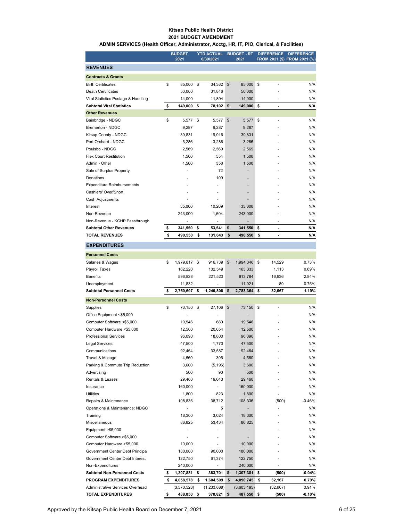#### **Kitsap Public Health District 2021 BUDGET AMENDMENT**

#### **ADMIN SERVICES (Health Officer, Administrator, Acctg, HR, IT, PIO, Clerical, & Facilities)**

|                                                                 |          | <b>BUDGET</b><br>2021    |          | <b>YTD ACTUAL</b><br>6/30/2021 |          | <b>BUDGET - RT</b><br>2021 |          | <b>DIFFERENCE</b>        | <b>DIFFERENCE</b><br>FROM 2021 (\$) FROM 2021 (%) |
|-----------------------------------------------------------------|----------|--------------------------|----------|--------------------------------|----------|----------------------------|----------|--------------------------|---------------------------------------------------|
| <b>REVENUES</b>                                                 |          |                          |          |                                |          |                            |          |                          |                                                   |
| <b>Contracts &amp; Grants</b>                                   |          |                          |          |                                |          |                            |          |                          |                                                   |
| <b>Birth Certificates</b>                                       | \$       | 85,000                   | \$       | 34,362                         | \$       | 85,000                     | \$       |                          | N/A                                               |
| <b>Death Certificates</b>                                       |          | 50,000                   |          | 31,846                         |          | 50,000                     |          |                          | N/A                                               |
| Vital Statistics Postage & Handling                             |          | 14,000                   |          | 11,894                         |          | 14,000                     |          | $\overline{\phantom{m}}$ | N/A                                               |
| <b>Subtotal Vital Statistics</b>                                | \$       | 149,000                  | \$       | 78,102                         | \$       | 149,000                    | \$       | $\blacksquare$           | N/A                                               |
| <b>Other Revenues</b>                                           |          |                          |          |                                |          |                            |          |                          |                                                   |
| Bainbridge - NDGC                                               | \$       | 5,577                    | \$       | 5,577                          | \$       | 5,577                      | \$       | ä,                       | N/A                                               |
| Bremerton - NDGC                                                |          | 9,287                    |          | 9,287                          |          | 9,287                      |          |                          | N/A                                               |
| Kitsap County - NDGC                                            |          | 39,831                   |          | 19,916                         |          | 39,831                     |          |                          | N/A                                               |
| Port Orchard - NDGC                                             |          | 3,286                    |          | 3,286                          |          | 3,286                      |          |                          | N/A                                               |
| Poulsbo - NDGC                                                  |          | 2,569                    |          | 2,569                          |          | 2,569                      |          |                          | N/A                                               |
| <b>Flex Court Restitution</b>                                   |          | 1,500                    |          | 554                            |          | 1,500                      |          |                          | N/A                                               |
| Admin - Other                                                   |          | 1,500                    |          | 358                            |          | 1,500                      |          |                          | N/A                                               |
| Sale of Surplus Property                                        |          | ä,                       |          | 72                             |          |                            |          |                          | N/A                                               |
| Donations                                                       |          |                          |          | 109                            |          | ٠                          |          |                          | N/A                                               |
| <b>Expenditure Reimbursements</b>                               |          |                          |          |                                |          |                            |          |                          | N/A                                               |
| Cashiers' Over/Short                                            |          |                          |          |                                |          |                            |          |                          | N/A                                               |
| Cash Adjustments<br>Interest                                    |          |                          |          | 10,209                         |          |                            |          |                          | N/A                                               |
| Non-Revenue                                                     |          | 35,000<br>243,000        |          | 1,604                          |          | 35,000<br>243,000          |          |                          | N/A<br>N/A                                        |
| Non-Revenue - KCHP Passthrough                                  |          |                          |          |                                |          |                            |          |                          | N/A                                               |
| <b>Subtotal Other Revenues</b>                                  | \$       | 341,550                  | \$       | 53,541                         | \$       | 341,550                    | \$       | $\overline{a}$           | N/A                                               |
| <b>TOTAL REVENUES</b>                                           | \$       | 490,550                  | \$       | 131,643                        | \$       | 490,550                    | \$       | ۰                        | N/A                                               |
|                                                                 |          |                          |          |                                |          |                            |          |                          |                                                   |
| <b>EXPENDITURES</b>                                             |          |                          |          |                                |          |                            |          |                          |                                                   |
| <b>Personnel Costs</b>                                          |          |                          |          |                                |          |                            |          |                          |                                                   |
| Salaries & Wages                                                | \$       | 1,979,817 \$             |          | 916,739                        | \$       | 1,994,346                  | 5        | 14,529                   | 0.73%                                             |
| Payroll Taxes<br><b>Benefits</b>                                |          | 162,220                  |          | 102,549                        |          | 163,333<br>613,764         |          | 1,113                    | 0.69%                                             |
| Unemployment                                                    |          | 596,828<br>11,832        |          | 221,520                        |          | 11,921                     |          | 16,936<br>89             | 2.84%<br>0.75%                                    |
| <b>Subtotal Personnel Costs</b>                                 | \$       | 2,750,697                | \$       | 1,240,808                      | \$       | 2,783,364                  | \$       | 32,667                   | 1.19%                                             |
|                                                                 |          |                          |          |                                |          |                            |          |                          |                                                   |
| <b>Non-Personnel Costs</b>                                      |          |                          |          |                                |          |                            |          |                          |                                                   |
| Supplies                                                        | \$       | 73,150 \$                |          | 27,106                         | \$       | 73,150                     | \$       |                          | N/A<br>N/A                                        |
| Office Equipment <\$5,000<br>Computer Software <\$5,000         |          | 19,546                   |          | 680                            |          | 19,546                     |          |                          | N/A                                               |
| Computer Hardware <\$5,000                                      |          | 12,500                   |          | 20,054                         |          | 12,500                     |          |                          | N/A                                               |
| <b>Professional Services</b>                                    |          | 96,090                   |          | 18,800                         |          | 96,090                     |          |                          | N/A                                               |
| <b>Legal Services</b>                                           |          | 47,500                   |          | 1,770                          |          | 47,500                     |          |                          | N/A                                               |
| Communications                                                  |          | 92,464                   |          | 33,587                         |          | 92,464                     |          |                          | N/A                                               |
| Travel & Mileage                                                |          | 4,560                    |          | 395                            |          | 4,560                      |          |                          | N/A                                               |
| Parking & Commute Trip Reduction                                |          | 3,600                    |          | (5, 196)                       |          | 3,600                      |          |                          | N/A                                               |
| Advertising                                                     |          | 500                      |          | 90                             |          | 500                        |          |                          | N/A                                               |
| Rentals & Leases                                                |          | 29,460                   |          | 19,043                         |          | 29,460                     |          |                          | N/A                                               |
| Insurance                                                       |          | 160,000                  |          |                                |          | 160,000                    |          |                          | N/A                                               |
| <b>Utilities</b>                                                |          | 1,800                    |          | 823                            |          | 1,800                      |          |                          | N/A                                               |
| Repairs & Maintenance                                           |          | 108,836                  |          | 38,712                         |          | 108,336                    |          | (500)                    | -0.46%                                            |
| Operations & Maintenance: NDGC                                  |          |                          |          | 5                              |          |                            |          |                          | N/A                                               |
| Training                                                        |          | 18,300                   |          | 3,024                          |          | 18,300                     |          |                          | N/A                                               |
| Miscellaneous                                                   |          | 86,825                   |          | 53,434                         |          | 86,825                     |          |                          | N/A                                               |
| Equipment >\$5,000                                              |          |                          |          |                                |          |                            |          |                          | N/A                                               |
| Computer Software > \$5,000                                     |          |                          |          |                                |          |                            |          |                          | N/A                                               |
| Computer Hardware > \$5,000                                     |          | 10,000                   |          | ÷,                             |          | 10,000                     |          |                          | N/A                                               |
| Government Center Debt Principal                                |          | 180,000                  |          | 90,000                         |          | 180,000                    |          |                          | N/A                                               |
| Government Center Debt Interest                                 |          | 122,750                  |          | 61,374                         |          | 122,750                    |          |                          | N/A                                               |
| Non-Expenditures                                                |          | 240,000                  |          | ۰                              |          | 240,000                    |          |                          | N/A                                               |
| <b>Subtotal Non-Personnel Costs</b>                             | \$<br>\$ | 1,307,881                | \$<br>\$ | 363,701                        | \$<br>\$ | 1,307,381                  | \$<br>\$ | (500)                    | $-0.04%$<br>0.79%                                 |
| <b>PROGRAM EXPENDITURES</b><br>Administrative Services Overhead |          | 4,058,578<br>(3,570,528) |          | 1,604,509<br>(1,233,688)       |          | 4,090,745<br>(3,603,195)   |          | 32,167<br>(32, 667)      | 0.91%                                             |
| <b>TOTAL EXPENDITURES</b>                                       | \$       | 488,050                  | \$       | 370,821 \$                     |          | 487,550                    | \$       | (500)                    | $-0.10%$                                          |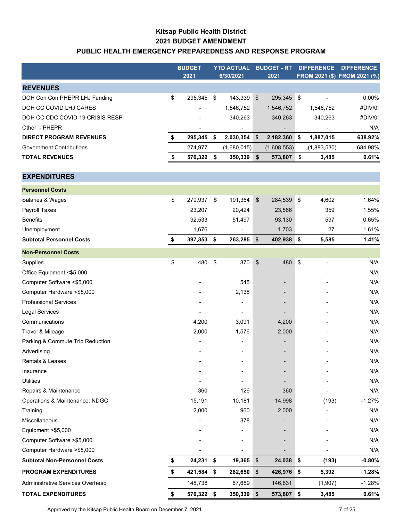## **Kitsap Public Health District 2021 BUDGET AMENDMENT PUBLIC HEALTH EMERGENCY PREPAREDNESS AND RESPONSE PROGRAM**

|                                     | <b>BUDGET</b><br>2021 |      | <b>YTD ACTUAL</b><br>6/30/2021 |                | <b>BUDGET - RT</b><br>2021   | <b>DIFFERENCE</b> |             | <b>DIFFERENCE</b><br>FROM 2021 (\$) FROM 2021 (%) |
|-------------------------------------|-----------------------|------|--------------------------------|----------------|------------------------------|-------------------|-------------|---------------------------------------------------|
| <b>REVENUES</b>                     |                       |      |                                |                |                              |                   |             |                                                   |
| DOH Con Con PHEPR LHJ Funding       | \$<br>295,345         | \$   | 143,339                        | $$\mathbb{S}$$ | 295,345 \$                   |                   |             | 0.00%                                             |
| DOH CC COVID LHJ CARES              |                       |      | 1,546,752                      |                | 1,546,752                    |                   | 1,546,752   | #DIV/0!                                           |
| DOH CC CDC COVID-19 CRISIS RESP     |                       |      | 340,263                        |                | 340,263                      |                   | 340,263     | #DIV/0!                                           |
| Other - PHEPR                       | $\overline{a}$        |      |                                |                |                              |                   |             | N/A                                               |
| <b>DIRECT PROGRAM REVENUES</b>      | \$<br>295,345         | - \$ | 2,030,354                      | \$             | 2,182,360 \$                 |                   | 1,887,015   | 638.92%                                           |
| <b>Government Contributions</b>     | 274,977               |      | (1,680,015)                    |                | (1,608,553)                  |                   | (1,883,530) | -684.98%                                          |
| <b>TOTAL REVENUES</b>               | \$<br>570,322         | \$   | 350,339                        | \$             | 573,807 \$                   |                   | 3,485       | 0.61%                                             |
| <b>EXPENDITURES</b>                 |                       |      |                                |                |                              |                   |             |                                                   |
| <b>Personnel Costs</b>              |                       |      |                                |                |                              |                   |             |                                                   |
| Salaries & Wages                    | \$<br>279,937         | \$   | 191,364                        | \$             | 284,539                      | $\sqrt{3}$        | 4,602       | 1.64%                                             |
| Payroll Taxes                       | 23,207                |      | 20,424                         |                | 23,566                       |                   | 359         | 1.55%                                             |
| <b>Benefits</b>                     | 92,533                |      | 51,497                         |                | 93,130                       |                   | 597         | 0.65%                                             |
| Unemployment                        | 1,676                 |      |                                |                | 1,703                        |                   | 27          | 1.61%                                             |
| <b>Subtotal Personnel Costs</b>     | \$<br>397,353 \$      |      | 263,285                        | \$             | 402,938 \$                   |                   | 5,585       | 1.41%                                             |
| <b>Non-Personnel Costs</b>          |                       |      |                                |                |                              |                   |             |                                                   |
| Supplies                            | \$<br>480             | \$   | 370                            | \$             | 480                          | \$                |             | N/A                                               |
| Office Equipment <\$5,000           |                       |      |                                |                |                              |                   |             | N/A                                               |
| Computer Software <\$5,000          |                       |      | 545                            |                |                              |                   |             | N/A                                               |
| Computer Hardware <\$5,000          |                       |      | 2,138                          |                |                              |                   |             | N/A                                               |
| <b>Professional Services</b>        |                       |      |                                |                |                              |                   |             | N/A                                               |
| Legal Services                      |                       |      |                                |                |                              |                   |             | N/A                                               |
| Communications                      | 4,200                 |      | 3,091                          |                | 4,200                        |                   |             | N/A                                               |
| Travel & Mileage                    | 2,000                 |      | 1,576                          |                | 2,000                        |                   |             | N/A                                               |
| Parking & Commute Trip Reduction    |                       |      |                                |                |                              |                   |             | N/A                                               |
| Advertising                         |                       |      | ۰                              |                | $\qquad \qquad \blacksquare$ |                   |             | N/A                                               |
| Rentals & Leases                    |                       |      |                                |                |                              |                   |             | N/A                                               |
| Insurance                           |                       |      |                                |                |                              |                   |             | N/A                                               |
| <b>Utilities</b>                    |                       |      |                                |                |                              |                   |             | N/A                                               |
| Repairs & Maintenance               | 360                   |      | 126                            |                | 360                          |                   |             | N/A                                               |
| Operations & Maintenance: NDGC      | 15,191                |      | 10,181                         |                | 14,998                       |                   | (193)       | $-1.27%$                                          |
| Training                            | 2,000                 |      | 960                            |                | 2,000                        |                   |             | N/A                                               |
| Miscellaneous                       |                       |      | 378                            |                |                              |                   |             | N/A                                               |
| Equipment >\$5,000                  |                       |      |                                |                |                              |                   |             | N/A                                               |
| Computer Software > \$5,000         |                       |      |                                |                |                              |                   |             | N/A                                               |
| Computer Hardware > \$5,000         |                       |      |                                |                |                              |                   |             | N/A                                               |
| <b>Subtotal Non-Personnel Costs</b> | \$<br>24,231 \$       |      | 19,365                         | \$             | 24,038 \$                    |                   | (193)       | $-0.80%$                                          |
| <b>PROGRAM EXPENDITURES</b>         | \$<br>421,584 \$      |      | 282,650                        | \$             | 426,976 \$                   |                   | 5,392       | 1.28%                                             |
| Administrative Services Overhead    | 148,738               |      | 67,689                         |                | 146,831                      |                   | (1, 907)    | $-1.28%$                                          |
| <b>TOTAL EXPENDITURES</b>           | \$<br>570,322 \$      |      | 350,339 \$                     |                | 573,807 \$                   |                   | 3,485       | 0.61%                                             |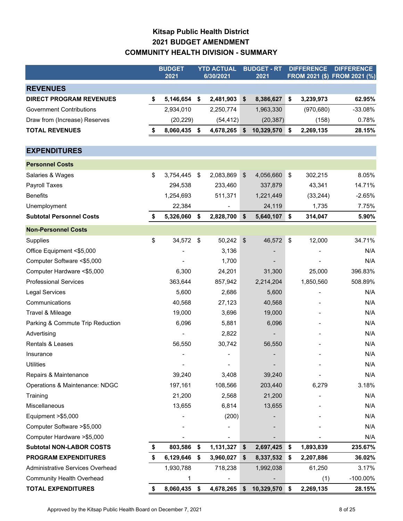# **Kitsap Public Health District 2021 BUDGET AMENDMENT COMMUNITY HEALTH DIVISION - SUMMARY**

|                                  | <b>BUDGET</b><br>2021 |    | <b>YTD ACTUAL</b><br>6/30/2021 |                            | <b>BUDGET - RT</b><br>2021 | <b>DIFFERENCE</b><br>FROM 2021 (\$) FROM 2021 (%) |            | <b>DIFFERENCE</b> |
|----------------------------------|-----------------------|----|--------------------------------|----------------------------|----------------------------|---------------------------------------------------|------------|-------------------|
|                                  |                       |    |                                |                            |                            |                                                   |            |                   |
| <b>REVENUES</b>                  |                       |    |                                |                            |                            |                                                   |            |                   |
| <b>DIRECT PROGRAM REVENUES</b>   | \$<br>5,146,654 \$    |    | 2,481,903                      | \$                         | 8,386,627                  | \$                                                | 3,239,973  | 62.95%            |
| <b>Government Contributions</b>  | 2,934,010             |    | 2,250,774                      |                            | 1,963,330                  |                                                   | (970, 680) | $-33.08%$         |
| Draw from (Increase) Reserves    | (20, 229)             |    | (54, 412)                      |                            | (20, 387)                  |                                                   | (158)      | 0.78%             |
| <b>TOTAL REVENUES</b>            | \$<br>8,060,435       | \$ | 4,678,265 \$                   |                            | 10,329,570                 | \$                                                | 2,269,135  | 28.15%            |
| <b>EXPENDITURES</b>              |                       |    |                                |                            |                            |                                                   |            |                   |
| <b>Personnel Costs</b>           |                       |    |                                |                            |                            |                                                   |            |                   |
| Salaries & Wages                 | \$<br>3,754,445       | \$ | 2,083,869                      | $\boldsymbol{\mathsf{\$}}$ | 4,056,660                  | \$                                                | 302,215    | 8.05%             |
| Payroll Taxes                    | 294,538               |    | 233,460                        |                            | 337,879                    |                                                   | 43,341     | 14.71%            |
| <b>Benefits</b>                  | 1,254,693             |    | 511,371                        |                            | 1,221,449                  |                                                   | (33, 244)  | $-2.65%$          |
| Unemployment                     | 22,384                |    |                                |                            | 24,119                     |                                                   | 1,735      | 7.75%             |
| <b>Subtotal Personnel Costs</b>  | \$<br>5,326,060       | \$ | 2,828,700                      | \$                         | 5,640,107                  | \$                                                | 314,047    | 5.90%             |
| <b>Non-Personnel Costs</b>       |                       |    |                                |                            |                            |                                                   |            |                   |
| Supplies                         | \$<br>34,572          | \$ | 50,242                         | $\boldsymbol{\mathsf{\$}}$ | 46,572                     | \$                                                | 12,000     | 34.71%            |
| Office Equipment <\$5,000        |                       |    | 3,136                          |                            |                            |                                                   |            | N/A               |
| Computer Software <\$5,000       |                       |    | 1,700                          |                            |                            |                                                   |            | N/A               |
| Computer Hardware <\$5,000       | 6,300                 |    | 24,201                         |                            | 31,300                     |                                                   | 25,000     | 396.83%           |
| <b>Professional Services</b>     | 363,644               |    | 857,942                        |                            | 2,214,204                  |                                                   | 1,850,560  | 508.89%           |
| <b>Legal Services</b>            | 5,600                 |    | 2,686                          |                            | 5,600                      |                                                   |            | N/A               |
| Communications                   | 40,568                |    | 27,123                         |                            | 40,568                     |                                                   |            | N/A               |
| Travel & Mileage                 | 19,000                |    | 3,696                          |                            | 19,000                     |                                                   |            | N/A               |
| Parking & Commute Trip Reduction | 6,096                 |    | 5,881                          |                            | 6,096                      |                                                   |            | N/A               |
| Advertising                      |                       |    | 2,822                          |                            |                            |                                                   |            | N/A               |
| Rentals & Leases                 | 56,550                |    | 30,742                         |                            | 56,550                     |                                                   |            | N/A               |
| Insurance                        |                       |    |                                |                            |                            |                                                   |            | N/A               |
| <b>Utilities</b>                 |                       |    |                                |                            |                            |                                                   |            | N/A               |
| Repairs & Maintenance            | 39,240                |    | 3,408                          |                            | 39,240                     |                                                   |            | N/A               |
| Operations & Maintenance: NDGC   | 197,161               |    | 108,566                        |                            | 203,440                    |                                                   | 6,279      | 3.18%             |
| Training                         | 21,200                |    | 2,568                          |                            | 21,200                     |                                                   |            | N/A               |
| Miscellaneous                    | 13,655                |    | 6,814                          |                            | 13,655                     |                                                   |            | N/A               |
| Equipment >\$5,000               |                       |    | (200)                          |                            |                            |                                                   |            | N/A               |
| Computer Software > \$5,000      |                       |    |                                |                            |                            |                                                   |            | N/A               |
| Computer Hardware > \$5,000      |                       |    |                                |                            |                            |                                                   |            | N/A               |
| <b>Subtotal NON-LABOR COSTS</b>  | \$<br>803,586         | \$ | 1,131,327                      | \$                         | 2,697,425                  | \$                                                | 1,893,839  | 235.67%           |
| <b>PROGRAM EXPENDITURES</b>      | \$<br>6,129,646       | \$ | 3,960,027                      | \$                         | 8,337,532                  | \$                                                | 2,207,886  | 36.02%            |
| Administrative Services Overhead | 1,930,788             |    | 718,238                        |                            | 1,992,038                  |                                                   | 61,250     | 3.17%             |
| <b>Community Health Overhead</b> | 1                     |    |                                |                            |                            |                                                   | (1)        | -100.00%          |
| <b>TOTAL EXPENDITURES</b>        | \$<br>8,060,435 \$    |    | 4,678,265 \$                   |                            | 10,329,570 \$              |                                                   | 2,269,135  | 28.15%            |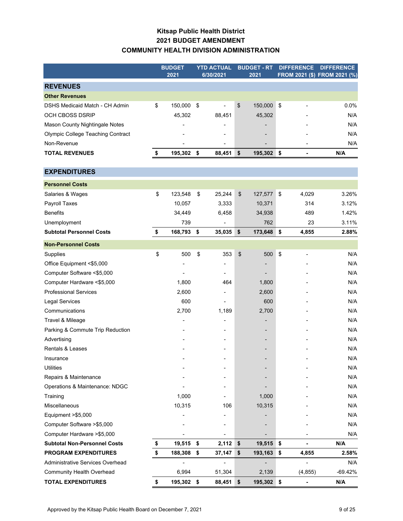### **Kitsap Public Health District 2021 BUDGET AMENDMENT COMMUNITY HEALTH DIVISION ADMINISTRATION**

|                                          | <b>BUDGET</b>    |    | <b>YTD ACTUAL</b> |               | <b>BUDGET - RT</b> | <b>DIFFERENCE</b> | <b>DIFFERENCE</b>            |
|------------------------------------------|------------------|----|-------------------|---------------|--------------------|-------------------|------------------------------|
|                                          | 2021             |    | 6/30/2021         |               | 2021               |                   | FROM 2021 (\$) FROM 2021 (%) |
| <b>REVENUES</b>                          |                  |    |                   |               |                    |                   |                              |
| <b>Other Revenues</b>                    |                  |    |                   |               |                    |                   |                              |
| DSHS Medicaid Match - CH Admin           | \$<br>150,000    | \$ |                   | \$            | 150,000            | \$                | 0.0%                         |
| OCH CBOSS DSRIP                          | 45,302           |    | 88,451            |               | 45,302             |                   | N/A                          |
| Mason County Nightingale Notes           |                  |    |                   |               |                    |                   | N/A                          |
| <b>Olympic College Teaching Contract</b> |                  |    |                   |               |                    |                   | N/A                          |
| Non-Revenue                              |                  |    |                   |               |                    |                   | N/A                          |
| <b>TOTAL REVENUES</b>                    | \$<br>195,302    | \$ | 88,451            | \$            | 195,302 \$         |                   | N/A                          |
|                                          |                  |    |                   |               |                    |                   |                              |
| <b>EXPENDITURES</b>                      |                  |    |                   |               |                    |                   |                              |
| <b>Personnel Costs</b>                   |                  |    |                   |               |                    |                   |                              |
| Salaries & Wages                         | \$<br>123,548    | \$ | 25,244            | $\frac{1}{2}$ | 127,577 \$         | 4,029             | 3.26%                        |
| Payroll Taxes                            | 10,057           |    | 3,333             |               | 10,371             | 314               | 3.12%                        |
| <b>Benefits</b>                          | 34,449           |    | 6,458             |               | 34,938             | 489               | 1.42%                        |
| Unemployment                             | 739              |    |                   |               | 762                | 23                | 3.11%                        |
| <b>Subtotal Personnel Costs</b>          | \$<br>168,793    | \$ | 35,035            | \$            | 173,648            | \$<br>4,855       | 2.88%                        |
| <b>Non-Personnel Costs</b>               |                  |    |                   |               |                    |                   |                              |
| Supplies                                 | \$<br>500        | \$ | 353               | \$            | 500                | \$                | N/A                          |
| Office Equipment <\$5,000                |                  |    |                   |               |                    |                   | N/A                          |
| Computer Software <\$5,000               |                  |    |                   |               |                    |                   | N/A                          |
| Computer Hardware <\$5,000               | 1,800            |    | 464               |               | 1,800              |                   | N/A                          |
| <b>Professional Services</b>             | 2,600            |    |                   |               | 2,600              |                   | N/A                          |
| <b>Legal Services</b>                    | 600              |    |                   |               | 600                |                   | N/A                          |
| Communications                           | 2,700            |    | 1,189             |               | 2,700              |                   | N/A                          |
| Travel & Mileage                         |                  |    |                   |               |                    |                   | N/A                          |
| Parking & Commute Trip Reduction         |                  |    |                   |               |                    |                   | N/A                          |
| Advertising                              |                  |    |                   |               |                    |                   | N/A                          |
| Rentals & Leases                         |                  |    |                   |               |                    |                   | N/A                          |
| Insurance                                |                  |    |                   |               |                    |                   | N/A                          |
| <b>Utilities</b>                         |                  |    |                   |               |                    |                   | N/A                          |
| Repairs & Maintenance                    |                  |    |                   |               |                    |                   | N/A                          |
| Operations & Maintenance: NDGC           |                  |    |                   |               |                    |                   | N/A                          |
| Training                                 | 1,000            |    |                   |               | 1,000              |                   | N/A                          |
| Miscellaneous                            | 10,315           |    | 106               |               | 10,315             |                   | N/A                          |
| Equipment > \$5,000                      |                  |    |                   |               |                    |                   | N/A                          |
| Computer Software > \$5,000              |                  |    |                   |               |                    |                   | N/A                          |
| Computer Hardware > \$5,000              |                  |    |                   |               |                    |                   | N/A                          |
| <b>Subtotal Non-Personnel Costs</b>      | 19,515 \$        |    | 2,112             | \$            | 19,515             | \$                | N/A                          |
| PROGRAM EXPENDITURES                     | \$<br>188,308    | \$ | 37,147            | \$            | 193,163            | \$<br>4,855       | 2.58%                        |
| Administrative Services Overhead         |                  |    | ä,                |               |                    |                   | N/A                          |
| <b>Community Health Overhead</b>         | 6,994            |    | 51,304            |               | 2,139              | (4, 855)          | $-69.42%$                    |
| <b>TOTAL EXPENDITURES</b>                | \$<br>195,302 \$ |    | 88,451 \$         |               | 195,302 \$         |                   | N/A                          |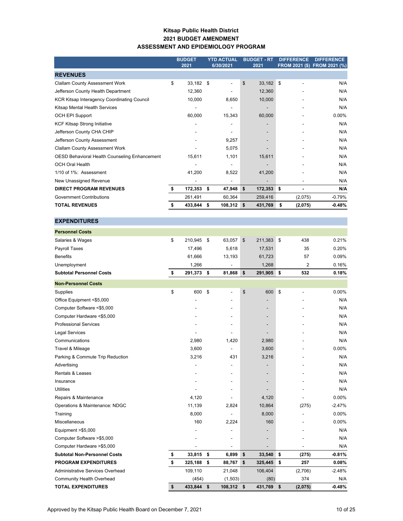#### **Kitsap Public Health District 2021 BUDGET AMENDMENT ASSESSMENT AND EPIDEMIOLOGY PROGRAM**

|                                                    |    | <b>BUDGET</b><br>2021 | <b>YTD ACTUAL</b><br>6/30/2021 | <b>BUDGET - RT</b><br>2021 |     | <b>DIFFERENCE</b> | <b>DIFFERENCE</b><br>FROM 2021 (\$) FROM 2021 (%) |
|----------------------------------------------------|----|-----------------------|--------------------------------|----------------------------|-----|-------------------|---------------------------------------------------|
| <b>REVENUES</b>                                    |    |                       |                                |                            |     |                   |                                                   |
| <b>Clallam County Assessment Work</b>              | \$ | 33,182                | \$                             | \$<br>33,182               | -\$ |                   | N/A                                               |
| Jefferson County Health Department                 |    | 12,360                |                                | 12,360                     |     |                   | N/A                                               |
| <b>KCR Kitsap Interagency Coordinating Council</b> |    | 10,000                | 8,650                          | 10,000                     |     |                   | N/A                                               |
| Kitsap Mental Health Services                      |    |                       |                                | -                          |     |                   | N/A                                               |
| <b>OCH EPI Support</b>                             |    | 60,000                | 15,343                         | 60,000                     |     |                   | $0.00\%$                                          |
| <b>KCF Kitsap Strong Initiative</b>                |    |                       |                                |                            |     |                   | N/A                                               |
| Jefferson County CHA CHIP                          |    |                       |                                |                            |     |                   | N/A                                               |
| Jefferson County Assessment                        |    |                       | 9,257                          |                            |     |                   | N/A                                               |
| <b>Clallam County Assessment Work</b>              |    |                       | 5,075                          |                            |     |                   | N/A                                               |
| OESD Behavioral Health Counseling Enhancement      |    | 15,611                | 1,101                          | 15,611                     |     |                   | N/A                                               |
| <b>OCH Oral Health</b>                             |    |                       |                                |                            |     |                   | N/A                                               |
| 1/10 of 1%: Assessment                             |    | 41,200                | 8,522                          | 41,200                     |     |                   | N/A                                               |
| New Unassigned Revenue                             |    |                       |                                |                            |     |                   | N/A                                               |
| <b>DIRECT PROGRAM REVENUES</b>                     | S  | 172,353               | \$<br>47,948                   | \$<br>172,353 \$           |     |                   | N/A                                               |
| <b>Government Contributions</b>                    |    | 261,491               | 60,364                         | 259,416                    |     | (2,075)           | $-0.79%$                                          |
| <b>TOTAL REVENUES</b>                              |    | 433,844               | \$<br>$108,312$ \$             | 431,769                    | \$  | (2,075)           | -0.48%                                            |

#### **EXPENDITURES**

| <b>Personnel Costs</b>              |               |               |               |        |               |          |
|-------------------------------------|---------------|---------------|---------------|--------|---------------|----------|
| Salaries & Wages                    | \$<br>210,945 | \$<br>63,057  | \$<br>211,383 |        | \$<br>438     | 0.21%    |
| Payroll Taxes                       | 17,496        | 5,618         | 17,531        |        | 35            | 0.20%    |
| <b>Benefits</b>                     | 61,666        | 13,193        |               | 61,723 | 57            | 0.09%    |
| Unemployment                        | 1,266         |               |               | 1,268  | 2             | 0.16%    |
| <b>Subtotal Personnel Costs</b>     | \$<br>291,373 | \$<br>81,868  | \$<br>291,905 |        | \$<br>532     | 0.18%    |
| <b>Non-Personnel Costs</b>          |               |               |               |        |               |          |
| Supplies                            | \$<br>600     | \$            | \$            | 600    | \$            | 0.00%    |
| Office Equipment <\$5,000           |               |               |               |        |               | N/A      |
| Computer Software <\$5,000          |               |               |               |        |               | N/A      |
| Computer Hardware <\$5,000          |               |               |               |        |               | N/A      |
| <b>Professional Services</b>        |               |               |               |        |               | N/A      |
| <b>Legal Services</b>               |               |               |               |        |               | N/A      |
| Communications                      | 2,980         | 1,420         |               | 2,980  |               | N/A      |
| Travel & Mileage                    | 3,600         |               |               | 3,600  |               | 0.00%    |
| Parking & Commute Trip Reduction    | 3,216         | 431           |               | 3,216  |               | N/A      |
| Advertising                         |               |               |               |        |               | N/A      |
| Rentals & Leases                    |               |               |               |        |               | N/A      |
| Insurance                           |               |               |               |        |               | N/A      |
| <b>Utilities</b>                    |               |               |               |        |               | N/A      |
| Repairs & Maintenance               | 4,120         |               |               | 4,120  |               | 0.00%    |
| Operations & Maintenance: NDGC      | 11,139        | 2,824         | 10,864        |        | (275)         | $-2.47%$ |
| Training                            | 8,000         |               |               | 8,000  |               | 0.00%    |
| <b>Miscellaneous</b>                | 160           | 2,224         |               | 160    |               | 0.00%    |
| Equipment > \$5,000                 |               | ٠             |               |        |               | N/A      |
| Computer Software >\$5,000          |               |               |               |        |               | N/A      |
| Computer Hardware > \$5,000         |               |               |               |        |               | N/A      |
| <b>Subtotal Non-Personnel Costs</b> | \$<br>33,815  | \$<br>6,899   | \$            | 33,540 | \$<br>(275)   | $-0.81%$ |
| <b>PROGRAM EXPENDITURES</b>         | \$<br>325,188 | \$<br>88,767  | \$<br>325,445 |        | \$<br>257     | 0.08%    |
| Administrative Services Overhead    | 109,110       | 21,048        | 106,404       |        | (2,706)       | $-2.48%$ |
| Community Health Overhead           | (454)         | (1,503)       |               | (80)   | 374           | N/A      |
| <b>TOTAL EXPENDITURES</b>           | \$<br>433,844 | \$<br>108,312 | \$<br>431,769 |        | \$<br>(2,075) | $-0.48%$ |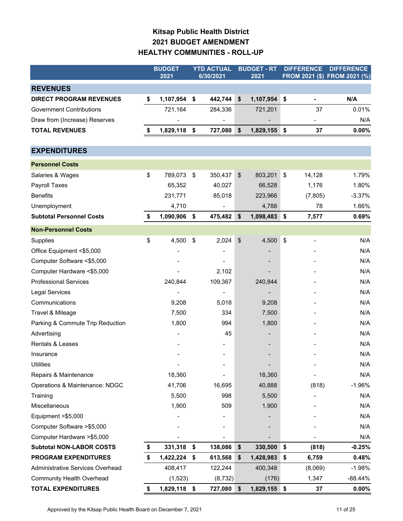# **Kitsap Public Health District 2021 BUDGET AMENDMENT HEALTHY COMMUNITIES - ROLL-UP**

|                                  | <b>BUDGET</b><br>2021 |                           | <b>YTD ACTUAL</b><br>6/30/2021 |                         | <b>BUDGET - RT</b><br>2021 | <b>DIFFERENCE</b><br>FROM 2021 (\$) FROM 2021 (%) |                              | <b>DIFFERENCE</b> |
|----------------------------------|-----------------------|---------------------------|--------------------------------|-------------------------|----------------------------|---------------------------------------------------|------------------------------|-------------------|
|                                  |                       |                           |                                |                         |                            |                                                   |                              |                   |
| <b>REVENUES</b>                  |                       |                           |                                |                         |                            |                                                   |                              |                   |
| <b>DIRECT PROGRAM REVENUES</b>   | \$<br>1,107,954       | \$                        | 442,744                        | \$                      | 1,107,954                  | \$                                                | $\blacksquare$               | N/A               |
| <b>Government Contributions</b>  | 721,164               |                           | 284,336                        |                         | 721,201                    |                                                   | 37                           | 0.01%             |
| Draw from (Increase) Reserves    |                       |                           |                                |                         |                            |                                                   |                              | N/A               |
| <b>TOTAL REVENUES</b>            | \$<br>1,829,118       | \$                        | 727,080                        | \$                      | 1,829,155 \$               |                                                   | 37                           | 0.00%             |
| <b>EXPENDITURES</b>              |                       |                           |                                |                         |                            |                                                   |                              |                   |
| <b>Personnel Costs</b>           |                       |                           |                                |                         |                            |                                                   |                              |                   |
| Salaries & Wages                 | \$<br>789,073         | $\boldsymbol{\hat{\phi}}$ | 350,437                        | \$                      | 803,201                    | \$                                                | 14,128                       | 1.79%             |
| Payroll Taxes                    | 65,352                |                           | 40,027                         |                         | 66,528                     |                                                   | 1,176                        | 1.80%             |
| <b>Benefits</b>                  | 231,771               |                           | 85,018                         |                         | 223,966                    |                                                   | (7, 805)                     | $-3.37%$          |
| Unemployment                     | 4,710                 |                           |                                |                         | 4,788                      |                                                   | 78                           | 1.66%             |
| <b>Subtotal Personnel Costs</b>  | \$<br>1,090,906       | \$                        | 475,482                        | \$                      | 1,098,483                  | $\sqrt{5}$                                        | 7,577                        | 0.69%             |
| <b>Non-Personnel Costs</b>       |                       |                           |                                |                         |                            |                                                   |                              |                   |
| Supplies                         | \$<br>4,500           | \$                        | 2,024                          | $\sqrt[6]{\frac{1}{2}}$ | 4,500                      | $\sqrt[6]{\frac{1}{2}}$                           | $\qquad \qquad \blacksquare$ | N/A               |
| Office Equipment <\$5,000        |                       |                           |                                |                         |                            |                                                   |                              | N/A               |
| Computer Software <\$5,000       |                       |                           |                                |                         |                            |                                                   |                              | N/A               |
| Computer Hardware <\$5,000       |                       |                           | 2,102                          |                         |                            |                                                   |                              | N/A               |
| <b>Professional Services</b>     | 240,844               |                           | 109,367                        |                         | 240,844                    |                                                   |                              | N/A               |
| Legal Services                   |                       |                           | $\overline{a}$                 |                         |                            |                                                   |                              | N/A               |
| Communications                   | 9,208                 |                           | 5,018                          |                         | 9,208                      |                                                   |                              | N/A               |
| Travel & Mileage                 | 7,500                 |                           | 334                            |                         | 7,500                      |                                                   |                              | N/A               |
| Parking & Commute Trip Reduction | 1,800                 |                           | 994                            |                         | 1,800                      |                                                   |                              | N/A               |
| Advertising                      |                       |                           | 45                             |                         | $\overline{\phantom{a}}$   |                                                   |                              | N/A               |
| Rentals & Leases                 |                       |                           |                                |                         |                            |                                                   |                              | N/A               |
| Insurance                        |                       |                           |                                |                         |                            |                                                   |                              | N/A               |
| <b>Utilities</b>                 |                       |                           |                                |                         |                            |                                                   |                              | N/A               |
| Repairs & Maintenance            | 18,360                |                           |                                |                         | 18,360                     |                                                   |                              | N/A               |
| Operations & Maintenance: NDGC   | 41,706                |                           | 16,695                         |                         | 40,888                     |                                                   | (818)                        | $-1.96%$          |
| Training                         | 5,500                 |                           | 998                            |                         | 5,500                      |                                                   |                              | N/A               |
| Miscellaneous                    | 1,900                 |                           | 509                            |                         | 1,900                      |                                                   |                              | N/A               |
| Equipment >\$5,000               |                       |                           |                                |                         |                            |                                                   |                              | N/A               |
| Computer Software > \$5,000      |                       |                           |                                |                         |                            |                                                   |                              | N/A               |
| Computer Hardware > \$5,000      |                       |                           |                                |                         |                            |                                                   |                              | N/A               |
| <b>Subtotal NON-LABOR COSTS</b>  | \$<br>331,318 \$      |                           | 138,086                        | \$                      | 330,500                    | $\sqrt{3}$                                        | (818)                        | $-0.25%$          |
| <b>PROGRAM EXPENDITURES</b>      | \$<br>$1,422,224$ \$  |                           | 613,568                        | \$                      | 1,428,983                  | \$                                                | 6,759                        | 0.48%             |
| Administrative Services Overhead | 408,417               |                           | 122,244                        |                         | 400,348                    |                                                   | (8,069)                      | $-1.98%$          |
| <b>Community Health Overhead</b> | (1, 523)              |                           | (8, 732)                       |                         | (176)                      |                                                   | 1,347                        | $-88.44%$         |
| <b>TOTAL EXPENDITURES</b>        | \$<br>1,829,118 \$    |                           | 727,080 \$                     |                         | 1,829,155 \$               |                                                   | 37                           | $0.00\%$          |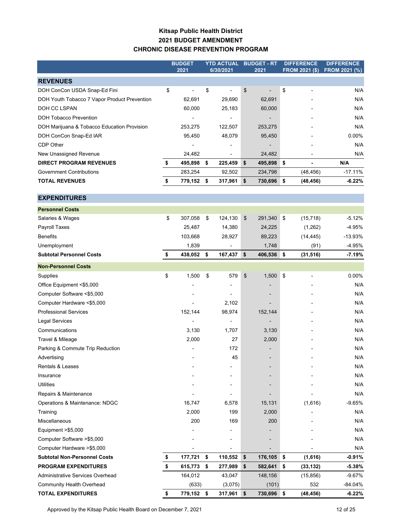### **Kitsap Public Health District 2021 BUDGET AMENDMENT CHRONIC DISEASE PREVENTION PROGRAM**

|                                              | <b>BUDGET</b><br>2021 | <b>YTD ACTUAL</b><br>6/30/2021 |                | <b>BUDGET - RT</b><br>2021 |            | <b>DIFFERENCE</b><br><b>FROM 2021 (\$)</b> |                | <b>DIFFERENCE</b><br><b>FROM 2021 (%)</b> |
|----------------------------------------------|-----------------------|--------------------------------|----------------|----------------------------|------------|--------------------------------------------|----------------|-------------------------------------------|
| <b>REVENUES</b>                              |                       |                                |                |                            |            |                                            |                |                                           |
| DOH ConCon USDA Snap-Ed Fini                 | \$                    | \$                             |                | \$                         |            | \$                                         |                | N/A                                       |
| DOH Youth Tobacco 7 Vapor Product Prevention | 62,691                |                                | 29,690         |                            | 62,691     |                                            |                | N/A                                       |
| DOH CC LSPAN                                 | 60,000                |                                | 25,183         |                            | 60,000     |                                            |                | N/A                                       |
| <b>DOH Tobacco Prevention</b>                | $\overline{a}$        |                                | $\overline{a}$ |                            |            |                                            |                | N/A                                       |
| DOH Marijuana & Tobacco Education Provision  | 253,275               |                                | 122,507        |                            | 253,275    |                                            |                | N/A                                       |
| DOH ConCon Snap-Ed IAR                       | 95,450                |                                | 48,079         |                            | 95,450     |                                            |                | $0.00\%$                                  |
| CDP Other                                    |                       |                                |                |                            |            |                                            |                | N/A                                       |
| New Unassigned Revenue                       | 24,482                |                                |                |                            | 24,482     |                                            |                | N/A                                       |
| <b>DIRECT PROGRAM REVENUES</b>               | \$<br>495,898         | - \$                           | 225,459        | \$                         | 495,898    | - \$                                       | $\blacksquare$ | N/A                                       |
| <b>Government Contributions</b>              | 283,254               |                                | 92,502         |                            | 234,798    |                                            | (48, 456)      | $-17.11%$                                 |
| <b>TOTAL REVENUES</b>                        | \$<br>779,152 \$      |                                | 317,961        | \$                         | 730,696 \$ |                                            | (48, 456)      | -6.22%                                    |
|                                              |                       |                                |                |                            |            |                                            |                |                                           |
| <b>EXPENDITURES</b>                          |                       |                                |                |                            |            |                                            |                |                                           |
| <b>Personnel Costs</b>                       |                       |                                |                |                            |            |                                            |                |                                           |
| Salaries & Wages                             | \$<br>307,058         | \$                             | 124,130        | \$                         | 291,340    | \$                                         | (15, 718)      | $-5.12%$                                  |
| Payroll Taxes                                | 25,487                |                                | 14,380         |                            | 24,225     |                                            | (1, 262)       | $-4.95%$                                  |
| <b>Benefits</b>                              | 103,668               |                                | 28,927         |                            | 89,223     |                                            | (14, 445)      | $-13.93%$                                 |
| Unemployment                                 | 1,839                 |                                |                |                            | 1,748      |                                            | (91)           | $-4.95%$                                  |
| <b>Subtotal Personnel Costs</b>              | \$<br>438,052         | \$                             | 167,437        | \$                         | 406,536 \$ |                                            | (31, 516)      | $-7.19%$                                  |
| <b>Non-Personnel Costs</b>                   |                       |                                |                |                            |            |                                            |                |                                           |
| Supplies                                     | \$<br>1,500           | \$                             | 579            | \$                         | 1,500      | \$                                         |                | $0.00\%$                                  |
| Office Equipment <\$5,000                    |                       |                                |                |                            |            |                                            |                | N/A                                       |
| Computer Software <\$5,000                   |                       |                                |                |                            |            |                                            |                | N/A                                       |
| Computer Hardware <\$5,000                   |                       |                                | 2,102          |                            |            |                                            |                | N/A                                       |
| <b>Professional Services</b>                 | 152,144               |                                | 98,974         |                            | 152,144    |                                            |                | N/A                                       |
| <b>Legal Services</b>                        |                       |                                |                |                            |            |                                            |                | N/A                                       |
| Communications                               | 3,130                 |                                | 1,707          |                            | 3,130      |                                            |                | N/A                                       |
| Travel & Mileage                             | 2,000                 |                                | 27             |                            | 2,000      |                                            |                | N/A                                       |
| Parking & Commute Trip Reduction             |                       |                                | 172            |                            |            |                                            |                | N/A                                       |
| Advertising                                  |                       |                                | 45             |                            |            |                                            |                | N/A                                       |
| Rentals & Leases                             |                       |                                |                |                            |            |                                            |                | N/A                                       |
| Insurance                                    |                       |                                |                |                            |            |                                            |                | N/A                                       |
| <b>Utilities</b>                             |                       |                                |                |                            |            |                                            |                | N/A                                       |
| Repairs & Maintenance                        |                       |                                |                |                            |            |                                            |                | N/A                                       |
| Operations & Maintenance: NDGC               | 16,747                |                                | 6,578          |                            | 15,131     |                                            | (1,616)        | $-9.65%$                                  |
| Training                                     | 2,000                 |                                | 199            |                            | 2,000      |                                            |                | N/A                                       |
| Miscellaneous                                | 200                   |                                | 169            |                            | 200        |                                            |                | N/A                                       |
| Equipment >\$5,000                           |                       |                                |                |                            |            |                                            |                | N/A                                       |
| Computer Software >\$5,000                   |                       |                                |                |                            |            |                                            |                | N/A                                       |
| Computer Hardware > \$5,000                  |                       |                                |                |                            |            |                                            |                | N/A                                       |
| <b>Subtotal Non-Personnel Costs</b>          | \$<br>177,721         | \$                             | 110,552        | \$                         | 176,105    | ∥\$                                        | (1,616)        | $-0.91%$                                  |
| <b>PROGRAM EXPENDITURES</b>                  | \$<br>615,773         | \$                             | 277,989        | \$                         | 582,641    | \$                                         | (33, 132)      | $-5.38%$                                  |
| Administrative Services Overhead             | 164,012               |                                | 43,047         |                            | 148,156    |                                            | (15, 856)      | $-9.67%$                                  |
| <b>Community Health Overhead</b>             | (633)                 |                                | (3,075)        |                            | (101)      |                                            | 532            | -84.04%                                   |
| <b>TOTAL EXPENDITURES</b>                    | \$<br>779,152 \$      |                                | 317,961 \$     |                            | 730,696 \$ |                                            | (48, 456)      | $-6.22%$                                  |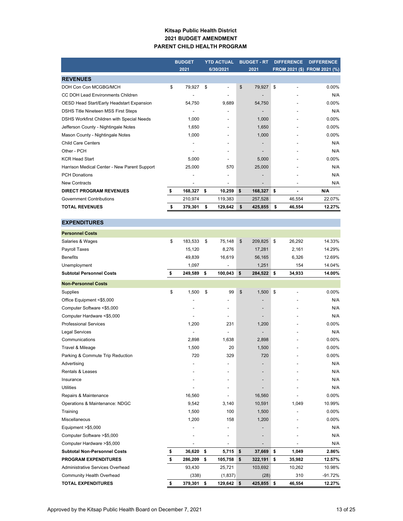#### **Kitsap Public Health District 2021 BUDGET AMENDMENT PARENT CHILD HEALTH PROGRAM**

|                                              | <b>BUDGET</b><br>2021 |         | <b>YTD ACTUAL</b><br>6/30/2021 |         | <b>BUDGET - RT</b><br>2021 | <b>DIFFERENCE</b> | <b>DIFFERENCE</b><br>FROM 2021 (\$) FROM 2021 (%) |
|----------------------------------------------|-----------------------|---------|--------------------------------|---------|----------------------------|-------------------|---------------------------------------------------|
|                                              |                       |         |                                |         |                            |                   |                                                   |
| <b>REVENUES</b>                              |                       |         |                                |         |                            |                   |                                                   |
| DOH Con Con MCGBG/MCH                        | \$                    | 79,927  | \$                             | ٠       | \$<br>79,927               | \$                | $0.00\%$                                          |
| CC DOH Lead Environments Children            |                       |         |                                |         |                            |                   | N/A                                               |
| OESD Head Start/Early Headstart Expansion    |                       | 54,750  |                                | 9.689   | 54,750                     |                   | $0.00\%$                                          |
| DSHS Title Nineteen MSS First Steps          |                       |         |                                |         | -                          |                   | N/A                                               |
| DSHS Workfirst Children with Special Needs   |                       | 1,000   |                                |         | 1,000                      |                   | 0.00%                                             |
| Jefferson County - Nightingale Notes         |                       | 1,650   |                                |         | 1,650                      |                   | 0.00%                                             |
| Mason County - Nightingale Notes             |                       | 1,000   |                                |         | 1,000                      |                   | 0.00%                                             |
| <b>Child Care Centers</b>                    |                       |         |                                |         |                            |                   | N/A                                               |
| Other - PCH                                  |                       |         |                                |         |                            |                   | N/A                                               |
| <b>KCR Head Start</b>                        |                       | 5,000   |                                |         | 5,000                      |                   | $0.00\%$                                          |
| Harrison Medical Center - New Parent Support |                       | 25,000  |                                | 570     | 25,000                     |                   | N/A                                               |
| <b>PCH Donations</b>                         |                       |         |                                |         |                            |                   | N/A                                               |
| <b>New Contracts</b>                         |                       |         |                                |         | -                          |                   | N/A                                               |
| <b>DIRECT PROGRAM REVENUES</b>               | \$                    | 168,327 | \$                             | 10,259  | \$<br>168,327              | \$                | N/A                                               |
| <b>Government Contributions</b>              |                       | 210,974 |                                | 119,383 | 257.528                    | 46.554            | 22.07%                                            |
| <b>TOTAL REVENUES</b>                        |                       | 379,301 | S                              | 129.642 | \$<br>425,855              | \$<br>46.554      | 12.27%                                            |

### **EXPENDITURES**

| <b>Personnel Costs</b>              |               |                |               |          |                |           |
|-------------------------------------|---------------|----------------|---------------|----------|----------------|-----------|
| Salaries & Wages                    | \$<br>183,533 | \$<br>75.148   | \$<br>209,825 | \$       | 26,292         | 14.33%    |
| Payroll Taxes                       | 15,120        | 8,276          | 17,281        |          | 2,161          | 14.29%    |
| <b>Benefits</b>                     | 49,839        | 16,619         | 56,165        |          | 6,326          | 12.69%    |
| Unemployment                        | 1,097         |                | 1,251         |          | 154            | 14.04%    |
| <b>Subtotal Personnel Costs</b>     | \$<br>249,589 | \$<br>100,043  | \$<br>284,522 | <b>S</b> | 34,933         | 14.00%    |
| <b>Non-Personnel Costs</b>          |               |                |               |          |                |           |
| Supplies                            | \$<br>1,500   | \$<br>99       | \$<br>1,500   | \$       | $\overline{a}$ | 0.00%     |
| Office Equipment <\$5,000           |               |                |               |          |                | N/A       |
| Computer Software <\$5,000          |               |                |               |          |                | N/A       |
| Computer Hardware <\$5,000          |               | $\overline{a}$ |               |          |                | N/A       |
| <b>Professional Services</b>        | 1,200         | 231            | 1,200         |          |                | $0.00\%$  |
| <b>Legal Services</b>               |               | $\overline{a}$ |               |          |                | N/A       |
| Communications                      | 2,898         | 1,638          | 2,898         |          |                | 0.00%     |
| Travel & Mileage                    | 1,500         | 20             | 1,500         |          |                | 0.00%     |
| Parking & Commute Trip Reduction    | 720           | 329            | 720           |          |                | 0.00%     |
| Advertising                         |               |                |               |          |                | N/A       |
| <b>Rentals &amp; Leases</b>         |               |                |               |          |                | N/A       |
| Insurance                           |               | ٠              |               |          |                | N/A       |
| <b>Utilities</b>                    |               |                |               |          |                | N/A       |
| Repairs & Maintenance               | 16,560        |                | 16,560        |          |                | $0.00\%$  |
| Operations & Maintenance: NDGC      | 9,542         | 3,140          | 10,591        |          | 1,049          | 10.99%    |
| Training                            | 1,500         | 100            | 1,500         |          |                | 0.00%     |
| Miscellaneous                       | 1,200         | 158            | 1,200         |          |                | 0.00%     |
| Equipment >\$5,000                  |               | ٠              |               |          |                | N/A       |
| Computer Software >\$5,000          |               | -              |               |          |                | N/A       |
| Computer Hardware > \$5,000         |               |                |               |          |                | N/A       |
| <b>Subtotal Non-Personnel Costs</b> | \$<br>36,620  | \$<br>5,715    | \$<br>37,669  | \$       | 1,049          | 2.86%     |
| <b>PROGRAM EXPENDITURES</b>         | \$<br>286,209 | \$<br>105,758  | \$<br>322,191 | \$       | 35,982         | 12.57%    |
| Administrative Services Overhead    | 93,430        | 25,721         | 103,692       |          | 10,262         | 10.98%    |
| <b>Community Health Overhead</b>    | (338)         | (1, 837)       | (28)          |          | 310            | $-91.72%$ |
| <b>TOTAL EXPENDITURES</b>           | \$<br>379,301 | \$<br>129,642  | \$<br>425,855 | \$       | 46,554         | 12.27%    |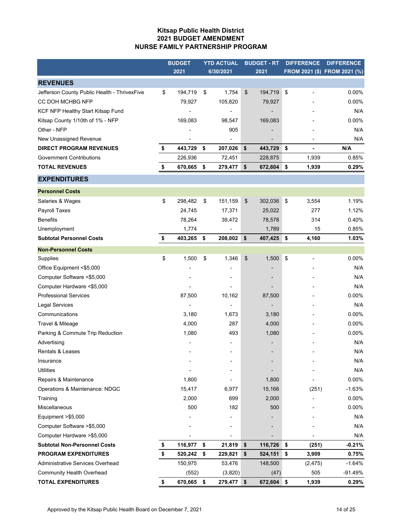### **Kitsap Public Health District 2021 BUDGET AMENDMENT NURSE FAMILY PARTNERSHIP PROGRAM**

|                                              | <b>BUDGET</b> | <b>YTD ACTUAL</b> |           | <b>BUDGET - RT</b> |            | <b>DIFFERENCE</b> |          | <b>DIFFERENCE</b>            |
|----------------------------------------------|---------------|-------------------|-----------|--------------------|------------|-------------------|----------|------------------------------|
|                                              | 2021          |                   | 6/30/2021 |                    | 2021       |                   |          | FROM 2021 (\$) FROM 2021 (%) |
| <b>REVENUES</b>                              |               |                   |           |                    |            |                   |          |                              |
| Jefferson County Public Health - ThrivexFive | \$<br>194,719 | \$                | 1,754     | $\frac{1}{2}$      | 194,719    | \$                | ٠        | 0.00%                        |
| CC DOH MCHBG NFP                             | 79,927        |                   | 105,820   |                    | 79,927     |                   |          | 0.00%                        |
| KCF NFP Healthy Start Kitsap Fund            |               |                   |           |                    |            |                   |          | N/A                          |
| Kitsap County 1/10th of 1% - NFP             | 169,083       |                   | 98,547    |                    | 169,083    |                   |          | 0.00%                        |
| Other - NFP                                  |               |                   | 905       |                    |            |                   |          | N/A                          |
| New Unassigned Revenue                       |               |                   |           |                    |            |                   |          | N/A                          |
| <b>DIRECT PROGRAM REVENUES</b>               | \$<br>443,729 | \$                | 207,026   | \$                 | 443,729    | \$                | ä,       | N/A                          |
| <b>Government Contributions</b>              | 226,936       |                   | 72,451    |                    | 228,875    |                   | 1,939    | 0.85%                        |
| <b>TOTAL REVENUES</b>                        | \$<br>670,665 | \$                | 279,477   | \$                 | 672,604 \$ |                   | 1,939    | 0.29%                        |
| <b>EXPENDITURES</b>                          |               |                   |           |                    |            |                   |          |                              |
| <b>Personnel Costs</b>                       |               |                   |           |                    |            |                   |          |                              |
| Salaries & Wages                             | \$<br>298,482 | \$                | 151,159   | $\frac{1}{2}$      | 302,036    | \$                | 3,554    | 1.19%                        |
| Payroll Taxes                                | 24,745        |                   | 17,371    |                    | 25,022     |                   | 277      | 1.12%                        |
| <b>Benefits</b>                              | 78,264        |                   | 39,472    |                    | 78,578     |                   | 314      | 0.40%                        |
| Unemployment                                 | 1,774         |                   |           |                    | 1,789      |                   | 15       | 0.85%                        |
| <b>Subtotal Personnel Costs</b>              | \$<br>403,265 | \$                | 208,002   | \$                 | 407,425 \$ |                   | 4,160    | 1.03%                        |
| <b>Non-Personnel Costs</b>                   |               |                   |           |                    |            |                   |          |                              |
| Supplies                                     | \$<br>1,500   | \$                | 1,346     | \$                 | 1,500      | \$                |          | 0.00%                        |
| Office Equipment <\$5,000                    |               |                   |           |                    |            |                   |          | N/A                          |
| Computer Software <\$5,000                   |               |                   |           |                    |            |                   |          | N/A                          |
| Computer Hardware <\$5,000                   |               |                   |           |                    |            |                   |          | N/A                          |
| <b>Professional Services</b>                 | 87,500        |                   | 10,162    |                    | 87,500     |                   |          | $0.00\%$                     |
| <b>Legal Services</b>                        |               |                   |           |                    |            |                   |          | N/A                          |
| Communications                               | 3,180         |                   | 1,673     |                    | 3,180      |                   |          | 0.00%                        |
| Travel & Mileage                             | 4,000         |                   | 287       |                    | 4,000      |                   |          | 0.00%                        |
| Parking & Commute Trip Reduction             | 1,080         |                   | 493       |                    | 1,080      |                   |          | 0.00%                        |
| Advertising                                  |               |                   |           |                    |            |                   |          | N/A                          |
| Rentals & Leases                             |               |                   |           |                    |            |                   |          | N/A                          |
| Insurance                                    |               |                   |           |                    |            |                   |          | N/A                          |
| <b>Utilities</b>                             |               |                   |           |                    |            |                   |          | N/A                          |
| Repairs & Maintenance                        | 1,800         |                   |           |                    | 1,800      |                   |          | 0.00%                        |
| Operations & Maintenance: NDGC               | 15,417        |                   | 6,977     |                    | 15,166     |                   | (251)    | $-1.63%$                     |
| Training                                     | 2,000         |                   | 699       |                    | 2,000      |                   |          | 0.00%                        |
| Miscellaneous                                | 500           |                   | 182       |                    | 500        |                   |          | 0.00%                        |
| Equipment >\$5,000                           |               |                   |           |                    |            |                   |          | N/A                          |
| Computer Software > \$5,000                  |               |                   |           |                    |            |                   |          | N/A                          |
| Computer Hardware > \$5,000                  |               |                   | ٠         |                    |            |                   |          | N/A                          |
| <b>Subtotal Non-Personnel Costs</b>          | \$<br>116,977 | \$                | 21,819    | \$                 | 116,726    | \$                | (251)    | $-0.21%$                     |
| <b>PROGRAM EXPENDITURES</b>                  | \$<br>520,242 | \$                | 229,821   | \$                 | 524,151    | \$                | 3,909    | 0.75%                        |
| Administrative Services Overhead             | 150,975       |                   | 53,476    |                    | 148,500    |                   | (2, 475) | $-1.64%$                     |
| <b>Community Health Overhead</b>             | (552)         |                   | (3,820)   |                    | (47)       |                   | 505      | -91.49%                      |
| <b>TOTAL EXPENDITURES</b>                    | \$<br>670,665 | \$                | 279,477   | \$                 | 672,604 \$ |                   | 1,939    | 0.29%                        |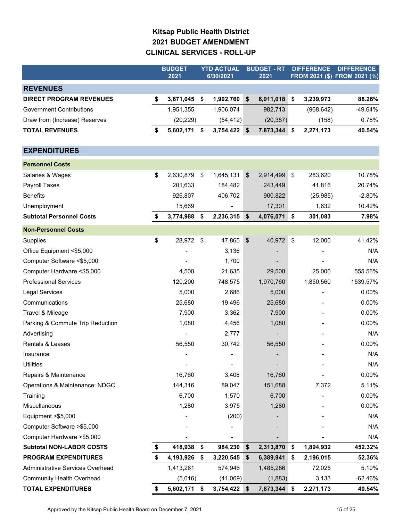# **Kitsap Public Health District 2021 BUDGET AMENDMENT CLINICAL SERVICES - ROLL-UP**

|                                  | <b>BUDGET</b>   |    | <b>YTD ACTUAL</b> |    | <b>BUDGET - RT</b> |     | <b>DIFFERENCE</b> | <b>DIFFERENCE</b>            |
|----------------------------------|-----------------|----|-------------------|----|--------------------|-----|-------------------|------------------------------|
|                                  | 2021            |    | 6/30/2021         |    | 2021               |     |                   | FROM 2021 (\$) FROM 2021 (%) |
| <b>REVENUES</b>                  |                 |    |                   |    |                    |     |                   |                              |
| <b>DIRECT PROGRAM REVENUES</b>   | \$<br>3,671,045 | \$ | 1,902,760         | \$ | 6,911,018          | \$  | 3,239,973         | 88.26%                       |
| <b>Government Contributions</b>  | 1,951,355       |    | 1,906,074         |    | 982,713            |     | (968, 642)        | -49.64%                      |
| Draw from (Increase) Reserves    | (20, 229)       |    | (54, 412)         |    | (20, 387)          |     | (158)             | 0.78%                        |
| <b>TOTAL REVENUES</b>            | \$<br>5,602,171 | \$ | 3,754,422         | \$ | 7,873,344          | ∣\$ | 2,271,173         | 40.54%                       |
|                                  |                 |    |                   |    |                    |     |                   |                              |
| <b>EXPENDITURES</b>              |                 |    |                   |    |                    |     |                   |                              |
| <b>Personnel Costs</b>           |                 |    |                   |    |                    |     |                   |                              |
| Salaries & Wages                 | \$<br>2,630,879 | \$ | 1,645,131         | \$ | 2,914,499          | \$  | 283,620           | 10.78%                       |
| Payroll Taxes                    | 201,633         |    | 184,482           |    | 243,449            |     | 41,816            | 20.74%                       |
| <b>Benefits</b>                  | 926,807         |    | 406,702           |    | 900,822            |     | (25, 985)         | $-2.80%$                     |
| Unemployment                     | 15,669          |    |                   |    | 17,301             |     | 1,632             | 10.42%                       |
| <b>Subtotal Personnel Costs</b>  | \$<br>3,774,988 | \$ | 2,236,315         | \$ | 4,076,071          | \$  | 301,083           | 7.98%                        |
| <b>Non-Personnel Costs</b>       |                 |    |                   |    |                    |     |                   |                              |
| Supplies                         | \$<br>28,972    | \$ | 47,865            | \$ | 40,972             | \$  | 12,000            | 41.42%                       |
| Office Equipment <\$5,000        |                 |    | 3,136             |    |                    |     |                   | N/A                          |
| Computer Software <\$5,000       |                 |    | 1,700             |    |                    |     |                   | N/A                          |
| Computer Hardware <\$5,000       | 4,500           |    | 21,635            |    | 29,500             |     | 25,000            | 555.56%                      |
| <b>Professional Services</b>     | 120,200         |    | 748,575           |    | 1,970,760          |     | 1,850,560         | 1539.57%                     |
| Legal Services                   | 5,000           |    | 2,686             |    | 5,000              |     |                   | 0.00%                        |
| Communications                   | 25,680          |    | 19,496            |    | 25,680             |     |                   | 0.00%                        |
| Travel & Mileage                 | 7,900           |    | 3,362             |    | 7,900              |     |                   | 0.00%                        |
| Parking & Commute Trip Reduction | 1,080           |    | 4,456             |    | 1,080              |     |                   | 0.00%                        |
| Advertising                      |                 |    | 2,777             |    |                    |     |                   | N/A                          |
| Rentals & Leases                 | 56,550          |    | 30,742            |    | 56,550             |     |                   | 0.00%                        |
| Insurance                        |                 |    |                   |    |                    |     |                   | N/A                          |
| <b>Utilities</b>                 |                 |    |                   |    |                    |     |                   | N/A                          |
| Repairs & Maintenance            | 16,760          |    | 3,408             |    | 16,760             |     |                   | 0.00%                        |
| Operations & Maintenance: NDGC   | 144,316         |    | 89,047            |    | 151,688            |     | 7,372             | 5.11%                        |
| Training                         | 6,700           |    | 1,570             |    | 6,700              |     |                   | 0.00%                        |
| Miscellaneous                    | 1,280           |    | 3,975             |    | 1,280              |     |                   | 0.00%                        |
| Equipment > \$5,000              |                 |    | (200)             |    |                    |     |                   | N/A                          |
| Computer Software > \$5,000      |                 |    |                   |    |                    |     |                   | N/A                          |
| Computer Hardware > \$5,000      |                 |    |                   |    |                    |     |                   | N/A                          |
| <b>Subtotal NON-LABOR COSTS</b>  | \$<br>418,938   | \$ | 984,230           | \$ | 2,313,870          | \$  | 1,894,932         | 452.32%                      |
| <b>PROGRAM EXPENDITURES</b>      | \$<br>4,193,926 | \$ | 3,220,545         | \$ | 6,389,941          | \$  | 2,196,015         | 52.36%                       |
| Administrative Services Overhead | 1,413,261       |    | 574,946           |    | 1,485,286          |     | 72,025            | 5.10%                        |
| <b>Community Health Overhead</b> | (5,016)         |    | (41,069)          |    | (1,883)            |     | 3,133             | $-62.46%$                    |
| <b>TOTAL EXPENDITURES</b>        | \$<br>5,602,171 | \$ | 3,754,422         | \$ | 7,873,344 \$       |     | 2,271,173         | 40.54%                       |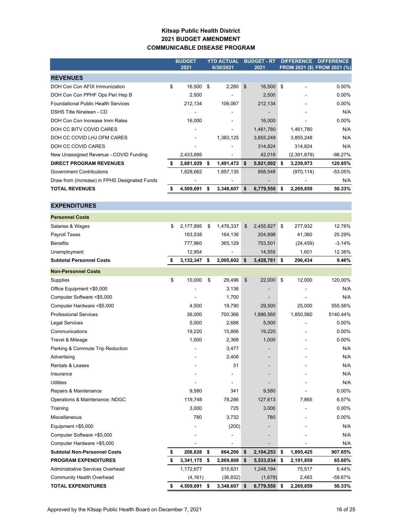### **Kitsap Public Health District 2021 BUDGET AMENDMENT COMMUNICABLE DISEASE PROGRAM**

|                                               | <b>BUDGET</b><br>2021 |    | <b>YTD ACTUAL</b><br>6/30/2021 | <b>BUDGET - RT</b><br>2021 |                |     | <b>DIFFERENCE</b> | <b>DIFFERENCE</b><br>FROM 2021 (\$) FROM 2021 (%) |
|-----------------------------------------------|-----------------------|----|--------------------------------|----------------------------|----------------|-----|-------------------|---------------------------------------------------|
| <b>REVENUES</b>                               |                       |    |                                |                            |                |     |                   |                                                   |
| DOH Con Con AFIX Immunization                 | \$<br>16,500          | \$ | 2,280                          | \$                         | 16,500         | \$  |                   | $0.00\%$                                          |
| DOH Con Con PPHF Ops Peri Hep B               | 2,500                 |    |                                |                            | 2,500          |     |                   | $0.00\%$                                          |
| <b>Foundational Public Health Services</b>    | 212,134               |    | 106,067                        |                            | 212,134        |     |                   | $0.00\%$                                          |
| DSHS Title Nineteen - CD                      |                       |    |                                |                            | -              |     |                   | N/A                                               |
| DOH Con Con Increase Imm Rates                | 16,000                |    | ۰                              |                            | 16,000         |     |                   | $0.00\%$                                          |
| DOH CC BITV COVID CARES                       |                       |    |                                |                            | 1,461,780      |     | 1,461,780         | N/A                                               |
| DOH CC COVID LHJ OFM CARES                    |                       |    | 1,383,125                      |                            | 3,855,248      |     | 3,855,248         | N/A                                               |
| DOH CC COVID CARES                            |                       |    |                                |                            | 314,824        |     | 314,824           | N/A                                               |
| New Unassigned Revenue - COVID Funding        | 2,433,895             |    | ٠                              |                            | 42,016         |     | (2,391,879)       | $-98.27%$                                         |
| <b>DIRECT PROGRAM REVENUES</b>                | 2,681,029             | \$ | 1,491,472                      | \$                         | 5,921,002      | \$. | 3,239,973         | 120.85%                                           |
| <b>Government Contributions</b>               | 1,828,662             |    | 1,857,135                      |                            | 858,548        |     | (970, 114)        | $-53.05%$                                         |
| Draw from (Increase) in FPHS Designated Funds |                       |    |                                |                            | $\blacksquare$ |     |                   | N/A                                               |
| <b>TOTAL REVENUES</b>                         | 4,509,691             | S  | 3,348,607                      | \$                         | 6,779,550      | s   | 2,269,859         | 50.33%                                            |

| <b>EXPENDITURES</b>                 |                 |                 |                 |                 |          |
|-------------------------------------|-----------------|-----------------|-----------------|-----------------|----------|
| <b>Personnel Costs</b>              |                 |                 |                 |                 |          |
| Salaries & Wages                    | \$<br>2,177,895 | \$<br>1,476,337 | \$<br>2,455,827 | \$<br>277,932   | 12.76%   |
| Payroll Taxes                       | 163,538         | 164,136         | 204,898         | 41,360          | 25.29%   |
| <b>Benefits</b>                     | 777,960         | 365,129         | 753,501         | (24, 459)       | $-3.14%$ |
| Unemployment                        | 12,954          |                 | 14,555          | 1,601           | 12.36%   |
| <b>Subtotal Personnel Costs</b>     | \$<br>3,132,347 | \$<br>2,005,602 | \$<br>3,428,781 | \$<br>296,434   | 9.46%    |
| <b>Non-Personnel Costs</b>          |                 |                 |                 |                 |          |
| Supplies                            | \$<br>10,000    | \$<br>29,496    | \$<br>22,000    | \$<br>12,000    | 120.00%  |
| Office Equipment <\$5,000           |                 | 3,136           |                 |                 | N/A      |
| Computer Software <\$5,000          |                 | 1,700           |                 |                 | N/A      |
| Computer Hardware <\$5,000          | 4,500           | 19,790          | 29,500          | 25,000          | 555.56%  |
| <b>Professional Services</b>        | 36,000          | 700,366         | 1,886,560       | 1,850,560       | 5140.44% |
| <b>Legal Services</b>               | 5,000           | 2,686           | 5,000           |                 | 0.00%    |
| Communications                      | 19,220          | 15,866          | 19,220          |                 | 0.00%    |
| Travel & Mileage                    | 1,000           | 2,368           | 1,000           |                 | 0.00%    |
| Parking & Commute Trip Reduction    |                 | 3,477           |                 |                 | N/A      |
| Advertising                         |                 | 2,406           |                 |                 | N/A      |
| <b>Rentals &amp; Leases</b>         |                 | 31              |                 |                 | N/A      |
| Insurance                           |                 |                 |                 |                 | N/A      |
| <b>Utilities</b>                    |                 | $\blacksquare$  |                 |                 | N/A      |
| Repairs & Maintenance               | 9,580           | 341             | 9,580           |                 | 0.00%    |
| Operations & Maintenance: NDGC      | 119,748         | 78,286          | 127,613         | 7,865           | 6.57%    |
| Training                            | 3,000           | 725             | 3,000           |                 | 0.00%    |
| Miscellaneous                       | 780             | 3,732           | 780             |                 | 0.00%    |
| Equipment $> $5,000$                |                 | (200)           |                 |                 | N/A      |
| Computer Software > \$5,000         |                 |                 |                 |                 | N/A      |
| Computer Hardware > \$5,000         |                 |                 |                 |                 | N/A      |
| <b>Subtotal Non-Personnel Costs</b> | \$<br>208,828   | \$<br>864,206   | \$<br>2,104,253 | \$<br>1,895,425 | 907.65%  |
| <b>PROGRAM EXPENDITURES</b>         | \$<br>3,341,175 | \$<br>2,869,808 | \$<br>5,533,034 | \$<br>2,191,859 | 65.60%   |
| Administrative Services Overhead    | 1,172,677       | 515,631         | 1,248,194       | 75,517          | 6.44%    |
| Community Health Overhead           | (4, 161)        | (36, 832)       | (1,678)         | 2,483           | -59.67%  |
| <b>TOTAL EXPENDITURES</b>           | \$<br>4,509,691 | \$<br>3,348,607 | \$<br>6,779,550 | \$<br>2,269,859 | 50.33%   |
|                                     |                 |                 |                 |                 |          |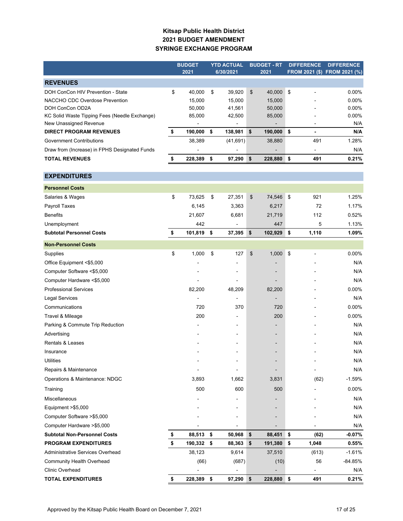### **Kitsap Public Health District 2021 BUDGET AMENDMENT SYRINGE EXCHANGE PROGRAM**

|                                               | <b>BUDGET</b> |         | <b>YTD ACTUAL</b> |                              | <b>BUDGET - RT</b> | <b>DIFFERENCE</b> |                              | <b>DIFFERENCE</b>            |
|-----------------------------------------------|---------------|---------|-------------------|------------------------------|--------------------|-------------------|------------------------------|------------------------------|
|                                               |               | 2021    |                   | 6/30/2021                    | 2021               |                   |                              | FROM 2021 (\$) FROM 2021 (%) |
| <b>REVENUES</b>                               |               |         |                   |                              |                    |                   |                              |                              |
| DOH ConCon HIV Prevention - State             | \$            | 40,000  | \$                | 39,920                       | \$<br>40,000       | \$                |                              | 0.00%                        |
| NACCHO CDC Overdose Prevention                |               | 15,000  |                   | 15,000                       | 15,000             |                   |                              | $0.00\%$                     |
| DOH ConCon OD2A                               |               | 50,000  |                   | 41,561                       | 50,000             |                   |                              | 0.00%                        |
| KC Solid Waste Tipping Fees (Needle Exchange) |               | 85,000  |                   | 42,500                       | 85,000             |                   |                              | 0.00%                        |
| New Unassigned Revenue                        |               |         |                   | $\qquad \qquad \blacksquare$ |                    |                   | $\qquad \qquad \blacksquare$ | N/A                          |
| <b>DIRECT PROGRAM REVENUES</b>                | \$            | 190,000 | \$                | 138,981                      | \$<br>190,000      | $\sqrt{3}$        |                              | N/A                          |
| <b>Government Contributions</b>               |               | 38,389  |                   | (41, 691)                    | 38,880             |                   | 491                          | 1.28%                        |
| Draw from (Increase) in FPHS Designated Funds |               |         |                   |                              |                    |                   | ÷                            | N/A                          |
| <b>TOTAL REVENUES</b>                         | \$            | 228,389 | \$                | 97,290                       | \$<br>228,880      | \$                | 491                          | 0.21%                        |
| <b>EXPENDITURES</b>                           |               |         |                   |                              |                    |                   |                              |                              |
|                                               |               |         |                   |                              |                    |                   |                              |                              |
| <b>Personnel Costs</b>                        |               |         |                   |                              |                    |                   |                              |                              |
| Salaries & Wages                              | \$            | 73,625  | \$                | 27,351                       | \$<br>74,546       | \$                | 921                          | 1.25%                        |
| Payroll Taxes                                 |               | 6,145   |                   | 3,363                        | 6,217              |                   | 72                           | 1.17%                        |
| <b>Benefits</b>                               |               | 21,607  |                   | 6,681                        | 21,719             |                   | 112                          | 0.52%                        |
| Unemployment                                  |               | 442     |                   |                              | 447                |                   | 5                            | 1.13%                        |
| <b>Subtotal Personnel Costs</b>               | \$            | 101,819 | \$                | 37,395                       | \$<br>102,929      | \$                | 1,110                        | 1.09%                        |
| <b>Non-Personnel Costs</b>                    |               |         |                   |                              |                    |                   |                              |                              |
| Supplies                                      | \$            | 1,000   | \$                | 127                          | \$<br>1,000        | \$                |                              | 0.00%                        |
| Office Equipment <\$5,000                     |               |         |                   |                              |                    |                   |                              | N/A                          |
| Computer Software <\$5,000                    |               |         |                   |                              |                    |                   |                              | N/A                          |
| Computer Hardware <\$5,000                    |               |         |                   |                              |                    |                   |                              | N/A                          |
| <b>Professional Services</b>                  |               | 82,200  |                   | 48,209                       | 82,200             |                   |                              | 0.00%                        |
| <b>Legal Services</b>                         |               |         |                   | ä,                           |                    |                   |                              | N/A                          |
| Communications                                |               | 720     |                   | 370                          | 720                |                   |                              | 0.00%                        |
| Travel & Mileage                              |               | 200     |                   | $\blacksquare$               | 200                |                   |                              | 0.00%                        |
| Parking & Commute Trip Reduction              |               |         |                   | $\overline{\phantom{0}}$     |                    |                   |                              | N/A                          |
| Advertising                                   |               |         |                   |                              |                    |                   |                              | N/A                          |
| <b>Rentals &amp; Leases</b>                   |               |         |                   |                              |                    |                   |                              | N/A                          |
| Insurance                                     |               |         |                   |                              |                    |                   |                              | N/A                          |
| <b>Utilities</b>                              |               |         |                   |                              |                    |                   |                              | N/A                          |
| Repairs & Maintenance                         |               |         |                   |                              |                    |                   |                              | N/A                          |
| Operations & Maintenance: NDGC                |               | 3,893   |                   | 1,662                        | 3,831              |                   | (62)                         | $-1.59%$                     |
| Training                                      |               | 500     |                   | 600                          | 500                |                   |                              | 0.00%                        |
| Miscellaneous                                 |               |         |                   |                              |                    |                   |                              | N/A                          |
| Equipment >\$5,000                            |               |         |                   |                              |                    |                   |                              | N/A                          |
| Computer Software >\$5,000                    |               |         |                   |                              |                    |                   |                              | N/A                          |
| Computer Hardware >\$5,000                    |               |         |                   |                              |                    |                   |                              | N/A                          |
| <b>Subtotal Non-Personnel Costs</b>           | \$            | 88,513  | \$                | 50,968                       | \$<br>88,451       | \$                | (62)                         | $-0.07%$                     |
| <b>PROGRAM EXPENDITURES</b>                   | \$            | 190,332 | \$                | 88,363                       | \$<br>191,380      | \$                | 1,048                        | 0.55%                        |
| Administrative Services Overhead              |               | 38,123  |                   | 9,614                        | 37,510             |                   | (613)                        | $-1.61%$                     |
| <b>Community Health Overhead</b>              |               | (66)    |                   | (687)                        | (10)               |                   | 56                           | $-84.85%$                    |
| <b>Clinic Overhead</b>                        |               |         |                   | ÷,                           |                    |                   |                              | N/A                          |
| <b>TOTAL EXPENDITURES</b>                     | \$            | 228,389 | \$                | 97,290                       | \$<br>228,880 \$   |                   | 491                          | 0.21%                        |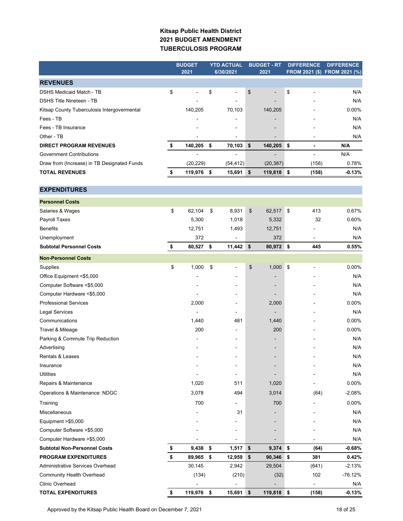### **Kitsap Public Health District 2021 BUDGET AMENDMENT TUBERCULOSIS PROGRAM**

|                                             | <b>BUDGET</b> |            | <b>YTD ACTUAL</b> |             | <b>BUDGET - RT</b> |                          | <b>DIFFERENCE</b>              | <b>DIFFERENCE</b>            |
|---------------------------------------------|---------------|------------|-------------------|-------------|--------------------|--------------------------|--------------------------------|------------------------------|
|                                             |               | 2021       |                   | 6/30/2021   |                    | 2021                     |                                | FROM 2021 (\$) FROM 2021 (%) |
| <b>REVENUES</b>                             |               |            |                   |             |                    |                          |                                |                              |
| <b>DSHS Medicaid Match - TB</b>             | \$            |            | \$                |             | \$                 |                          | \$                             | N/A                          |
| <b>DSHS Title Nineteen - TB</b>             |               |            |                   |             |                    |                          |                                | N/A                          |
| Kitsap County Tuberculosis Intergovermental |               | 140,205    |                   | 70,103      |                    | 140,205                  |                                | 0.00%                        |
| Fees - TB                                   |               |            |                   |             |                    |                          |                                | N/A                          |
| Fees - TB Insurance                         |               |            |                   |             |                    |                          |                                | N/A                          |
| Other - TB                                  |               |            |                   |             |                    |                          |                                | N/A                          |
| <b>DIRECT PROGRAM REVENUES</b>              | \$            | 140,205 \$ |                   | 70,103      | \$                 | 140,205                  | \$<br>$\overline{\phantom{a}}$ | N/A                          |
| <b>Government Contributions</b>             |               |            |                   |             |                    |                          |                                | N/A                          |
| Draw from (Increase) in TB Designated Funds |               | (20, 229)  |                   | (54, 412)   |                    | (20, 387)                | (158)                          | 0.78%                        |
| <b>TOTAL REVENUES</b>                       | \$            | 119,976    | \$                | 15,691      | \$                 | 119,818                  | \$<br>(158)                    | -0.13%                       |
|                                             |               |            |                   |             |                    |                          |                                |                              |
| <b>EXPENDITURES</b>                         |               |            |                   |             |                    |                          |                                |                              |
| <b>Personnel Costs</b>                      |               |            |                   |             |                    |                          |                                |                              |
| Salaries & Wages                            | \$            | 62,104     | \$                | 8,931       | \$                 | 62,517                   | \$<br>413                      | 0.67%                        |
| Payroll Taxes                               |               | 5,300      |                   | 1,018       |                    | 5,332                    | 32                             | 0.60%                        |
| <b>Benefits</b>                             |               | 12,751     |                   | 1,493       |                    | 12,751                   |                                | N/A                          |
| Unemployment                                |               | 372        |                   |             |                    | 372                      |                                | N/A                          |
| <b>Subtotal Personnel Costs</b>             | \$            | 80,527     | \$                | 11,442      | \$                 | 80,972                   | \$<br>445                      | 0.55%                        |
| <b>Non-Personnel Costs</b>                  |               |            |                   |             |                    |                          |                                |                              |
| Supplies                                    | \$            | 1,000      | \$                | ÷,          | \$                 | 1,000                    | \$<br>$\overline{a}$           | 0.00%                        |
| Office Equipment <\$5,000                   |               |            |                   |             |                    |                          |                                | N/A                          |
| Computer Software <\$5,000                  |               |            |                   |             |                    |                          |                                | N/A                          |
| Computer Hardware <\$5,000                  |               |            |                   |             |                    | $\overline{\phantom{a}}$ |                                | N/A                          |
|                                             |               |            |                   |             |                    |                          |                                |                              |
| <b>Professional Services</b>                |               | 2,000      |                   |             |                    | 2,000                    |                                | $0.00\%$                     |
| <b>Legal Services</b>                       |               |            |                   |             |                    |                          |                                | N/A                          |
| Communications                              |               | 1,440      |                   | 481         |                    | 1,440                    |                                | 0.00%                        |
| Travel & Mileage                            |               | 200        |                   |             |                    | 200                      |                                | 0.00%                        |
| Parking & Commute Trip Reduction            |               |            |                   |             |                    |                          |                                | N/A                          |
| Advertising                                 |               |            |                   |             |                    |                          |                                | N/A                          |
| Rentals & Leases                            |               |            |                   |             |                    |                          |                                | N/A                          |
| Insurance                                   |               |            |                   |             |                    |                          |                                | N/A                          |
| <b>Utilities</b>                            |               |            |                   |             |                    |                          |                                | N/A                          |
| Repairs & Maintenance                       |               | 1,020      |                   | 511         |                    | 1,020                    |                                | 0.00%                        |
| Operations & Maintenance: NDGC              |               | 3,078      |                   | 494         |                    | 3,014                    | (64)                           | $-2.08%$                     |
| Training                                    |               | 700        |                   |             |                    | 700                      |                                | 0.00%                        |
| Miscellaneous                               |               |            |                   | 31          |                    |                          |                                | N/A                          |
| Equipment >\$5,000                          |               |            |                   |             |                    |                          |                                | N/A                          |
| Computer Software >\$5,000                  |               |            |                   |             |                    |                          |                                | N/A                          |
| Computer Hardware >\$5,000                  |               |            |                   |             |                    |                          |                                | N/A                          |
| <b>Subtotal Non-Personnel Costs</b>         | \$            | 9,438      | \$                | 1,517       | \$                 | 9,374                    | \$<br>(64)                     | $-0.68\%$                    |
| <b>PROGRAM EXPENDITURES</b>                 | \$            | 89,965     | \$                | 12,959      | \$                 | 90,346                   | \$<br>381                      | 0.42%                        |
| Administrative Services Overhead            |               | 30,145     |                   | 2,942       |                    | 29,504                   | (641)                          | $-2.13%$                     |
| <b>Community Health Overhead</b>            |               | (134)      |                   | (210)       |                    | (32)                     | 102                            | $-76.12%$                    |
| Clinic Overhead                             |               |            |                   |             |                    |                          |                                | N/A                          |
| <b>TOTAL EXPENDITURES</b>                   | \$            | 119,976 \$ |                   | $15,691$ \$ |                    | 119,818 \$               | (158)                          | $-0.13%$                     |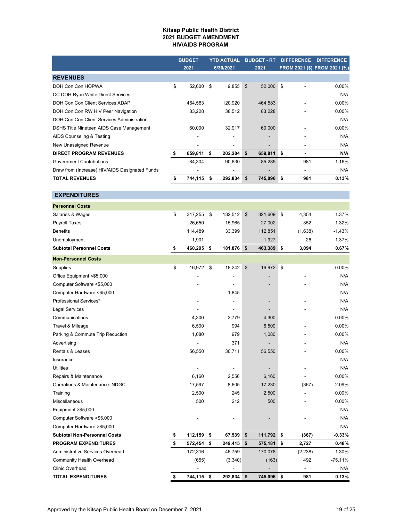#### **Kitsap Public Health District 2021 BUDGET AMENDMENT HIV/AIDS PROGRAM**

|                                                | <b>BUDGET</b> |          | <b>YTD ACTUAL</b>        |    | <b>BUDGET - RT</b>       |      | <b>DIFFERENCE</b>        | <b>DIFFERENCE</b>            |
|------------------------------------------------|---------------|----------|--------------------------|----|--------------------------|------|--------------------------|------------------------------|
|                                                | 2021          |          | 6/30/2021                |    | 2021                     |      |                          | FROM 2021 (\$) FROM 2021 (%) |
| <b>REVENUES</b>                                |               |          |                          |    |                          |      |                          |                              |
| DOH Con Con HOPWA                              | \$<br>52,000  | <b>S</b> | 9,855                    | \$ | 52,000 \$                |      |                          | $0.00\%$                     |
| CC DOH Ryan White Direct Services              |               |          | $\overline{\phantom{a}}$ |    | -                        |      | ۰                        | N/A                          |
| DOH Con Con Client Services ADAP               | 464,583       |          | 120,920                  |    | 464,583                  |      |                          | $0.00\%$                     |
| DOH Con Con RW HIV Peer Navigation             | 83,228        |          | 38,512                   |    | 83,228                   |      |                          | $0.00\%$                     |
| DOH Con Con Client Services Administration     |               |          | ۰                        |    | -                        |      |                          | N/A                          |
| DSHS Title Nineteen AIDS Case Management       | 60,000        |          | 32,917                   |    | 60,000                   |      |                          | $0.00\%$                     |
| AIDS Counseling & Testing                      |               |          | -                        |    | $\overline{\phantom{a}}$ |      |                          | N/A                          |
| New Unassigned Revenue                         |               |          | -                        |    | -                        |      | -                        | N/A                          |
| <b>DIRECT PROGRAM REVENUES</b>                 | \$<br>659,811 | \$       | 202,204                  | \$ | 659,811                  | -\$  | $\overline{\phantom{0}}$ | N/A                          |
| <b>Government Contributions</b>                | 84,304        |          | 90,630                   |    | 85,285                   |      | 981                      | 1.16%                        |
| Draw from (Increase) HIV/AIDS Designated Funds |               |          | -                        |    | -                        |      | $\overline{\phantom{0}}$ | N/A                          |
| <b>TOTAL REVENUES</b>                          | 744,115       | -S       | 292,834                  | S  | 745,096                  | - \$ | 981                      | 0.13%                        |

**EXPENDITURES**

| <b>Personnel Costs</b>                  |               |               |               |                                |           |
|-----------------------------------------|---------------|---------------|---------------|--------------------------------|-----------|
| Salaries & Wages                        | \$<br>317,255 | \$<br>132,512 | \$<br>321,609 | \$<br>4,354                    | 1.37%     |
| Payroll Taxes                           | 26,650        | 15,965        | 27,002        | 352                            | 1.32%     |
| <b>Benefits</b>                         | 114,489       | 33,399        | 112,851       | (1,638)                        | $-1.43%$  |
| Unemployment                            | 1,901         |               | 1,927         | 26                             | 1.37%     |
| <b>Subtotal Personnel Costs</b>         | \$<br>460,295 | \$<br>181,876 | \$<br>463,389 | \$<br>3,094                    | 0.67%     |
| <b>Non-Personnel Costs</b>              |               |               |               |                                |           |
| Supplies                                | \$<br>16,972  | \$<br>18,242  | \$<br>16,972  | \$<br>$\overline{\phantom{a}}$ | 0.00%     |
| Office Equipment <\$5,000               |               |               |               |                                | N/A       |
| Computer Software <\$5,000              |               |               |               |                                | N/A       |
| Computer Hardware <\$5,000              |               | 1,845         |               |                                | N/A       |
| Professional Services*                  |               |               |               |                                | N/A       |
| <b>Legal Services</b>                   |               |               |               |                                | N/A       |
| Communications                          | 4,300         | 2,779         | 4,300         |                                | 0.00%     |
| Travel & Mileage                        | 6,500         | 994           | 6,500         |                                | $0.00\%$  |
| Parking & Commute Trip Reduction        | 1,080         | 979           | 1,080         |                                | 0.00%     |
| Advertising                             |               | 371           |               |                                | N/A       |
| <b>Rentals &amp; Leases</b>             | 56,550        | 30,711        | 56,550        |                                | $0.00\%$  |
| Insurance                               |               |               |               |                                | N/A       |
| <b>Utilities</b>                        |               |               |               |                                | N/A       |
| Repairs & Maintenance                   | 6,160         | 2,556         | 6,160         |                                | $0.00\%$  |
| Operations & Maintenance: NDGC          | 17,597        | 8,605         | 17,230        | (367)                          | $-2.09%$  |
| Training                                | 2,500         | 245           | 2,500         |                                | 0.00%     |
| Miscellaneous                           | 500           | 212           | 500           |                                | 0.00%     |
| Equipment >\$5,000                      |               |               |               |                                | N/A       |
| Computer Software >\$5,000              |               |               |               |                                | N/A       |
| Computer Hardware > \$5,000             |               |               |               |                                | N/A       |
| <b>Subtotal Non-Personnel Costs</b>     | \$<br>112,159 | \$<br>67,539  | \$<br>111,792 | \$<br>(367)                    | $-0.33%$  |
| <b>PROGRAM EXPENDITURES</b>             | \$<br>572,454 | \$<br>249,415 | \$<br>575,181 | \$<br>2,727                    | 0.48%     |
| <b>Administrative Services Overhead</b> | 172,316       | 46,759        | 170,078       | (2, 238)                       | $-1.30%$  |
| <b>Community Health Overhead</b>        | (655)         | (3,340)       | (163)         | 492                            | $-75.11%$ |
| <b>Clinic Overhead</b>                  |               |               |               | $\overline{a}$                 | N/A       |
| <b>TOTAL EXPENDITURES</b>               | \$<br>744,115 | \$<br>292,834 | \$<br>745,096 | \$<br>981                      | 0.13%     |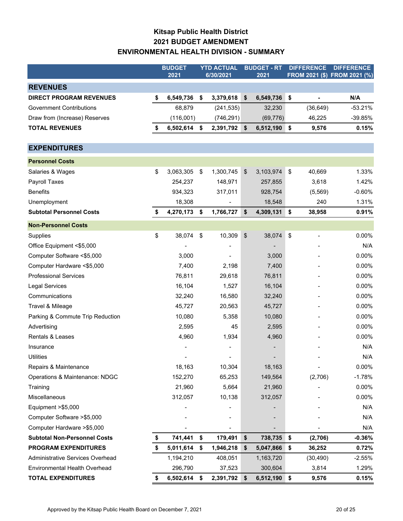# **Kitsap Public Health District 2021 BUDGET AMENDMENT ENVIRONMENTAL HEALTH DIVISION - SUMMARY**

|                                      | <b>BUDGET</b><br>2021 | <b>YTD ACTUAL</b><br>6/30/2021 | <b>BUDGET - RT</b><br>2021 |                           | <b>DIFFERENCE</b> | <b>DIFFERENCE</b><br>FROM 2021 (\$) FROM 2021 (%) |
|--------------------------------------|-----------------------|--------------------------------|----------------------------|---------------------------|-------------------|---------------------------------------------------|
| <b>REVENUES</b>                      |                       |                                |                            |                           |                   |                                                   |
| <b>DIRECT PROGRAM REVENUES</b>       | \$<br>6,549,736       | \$<br>3,379,618                | \$<br>6,549,736            | \$                        | $\frac{1}{2}$     | N/A                                               |
| <b>Government Contributions</b>      | 68,879                | (241, 535)                     | 32,230                     |                           | (36, 649)         | $-53.21%$                                         |
| Draw from (Increase) Reserves        | (116,001)             | (746, 291)                     | (69, 776)                  |                           | 46,225            | $-39.85%$                                         |
| <b>TOTAL REVENUES</b>                | \$<br>6,502,614       | \$<br>2,391,792 \$             | 6,512,190 \$               |                           | 9,576             | 0.15%                                             |
| <b>EXPENDITURES</b>                  |                       |                                |                            |                           |                   |                                                   |
| <b>Personnel Costs</b>               |                       |                                |                            |                           |                   |                                                   |
| Salaries & Wages                     | \$<br>3,063,305       | \$<br>1,300,745                | \$<br>3,103,974            | $\boldsymbol{\mathsf{S}}$ | 40,669            | 1.33%                                             |
| Payroll Taxes                        | 254,237               | 148,971                        | 257,855                    |                           | 3,618             | 1.42%                                             |
| <b>Benefits</b>                      | 934,323               | 317,011                        | 928,754                    |                           | (5, 569)          | $-0.60%$                                          |
| Unemployment                         | 18,308                |                                | 18,548                     |                           | 240               | 1.31%                                             |
| <b>Subtotal Personnel Costs</b>      | \$<br>4,270,173       | \$<br>1,766,727                | \$<br>4,309,131            | \$                        | 38,958            | 0.91%                                             |
| <b>Non-Personnel Costs</b>           |                       |                                |                            |                           |                   |                                                   |
| Supplies                             | \$<br>38,074          | \$<br>10,309                   | \$<br>38,074               | $\boldsymbol{\mathsf{S}}$ |                   | 0.00%                                             |
| Office Equipment <\$5,000            |                       |                                |                            |                           |                   | N/A                                               |
| Computer Software <\$5,000           | 3,000                 |                                | 3,000                      |                           |                   | 0.00%                                             |
| Computer Hardware <\$5,000           | 7,400                 | 2,198                          | 7,400                      |                           |                   | 0.00%                                             |
| <b>Professional Services</b>         | 76,811                | 29,618                         | 76,811                     |                           |                   | 0.00%                                             |
| <b>Legal Services</b>                | 16,104                | 1,527                          | 16,104                     |                           |                   | 0.00%                                             |
| Communications                       | 32,240                | 16,580                         | 32,240                     |                           |                   | 0.00%                                             |
| Travel & Mileage                     | 45,727                | 20,563                         | 45,727                     |                           |                   | 0.00%                                             |
| Parking & Commute Trip Reduction     | 10,080                | 5,358                          | 10,080                     |                           |                   | 0.00%                                             |
| Advertising                          | 2,595                 | 45                             | 2,595                      |                           |                   | 0.00%                                             |
| Rentals & Leases                     | 4,960                 | 1,934                          | 4,960                      |                           |                   | 0.00%                                             |
| Insurance                            |                       |                                |                            |                           |                   | N/A                                               |
| <b>Utilities</b>                     |                       |                                |                            |                           |                   | N/A                                               |
| Repairs & Maintenance                | 18,163                | 10,304                         | 18,163                     |                           |                   | 0.00%                                             |
| Operations & Maintenance: NDGC       | 152,270               | 65,253                         | 149,564                    |                           | (2,706)           | $-1.78%$                                          |
| Training                             | 21,960                | 5,664                          | 21,960                     |                           |                   | 0.00%                                             |
| Miscellaneous                        | 312,057               | 10,138                         | 312,057                    |                           |                   | 0.00%                                             |
| Equipment >\$5,000                   |                       |                                |                            |                           |                   | N/A                                               |
| Computer Software > \$5,000          |                       |                                |                            |                           |                   | N/A                                               |
| Computer Hardware > \$5,000          |                       |                                |                            |                           |                   | N/A                                               |
| <b>Subtotal Non-Personnel Costs</b>  | \$<br>741,441         | \$<br>179,491                  | \$<br>738,735              | \$                        | (2,706)           | $-0.36%$                                          |
| <b>PROGRAM EXPENDITURES</b>          | \$<br>5,011,614       | \$<br>1,946,218                | \$<br>5,047,866            | \$                        | 36,252            | 0.72%                                             |
| Administrative Services Overhead     | 1,194,210             | 408,051                        | 1,163,720                  |                           | (30, 490)         | $-2.55%$                                          |
| <b>Environmental Health Overhead</b> | 296,790               | 37,523                         | 300,604                    |                           | 3,814             | 1.29%                                             |
| <b>TOTAL EXPENDITURES</b>            | \$<br>6,502,614       | \$<br>2,391,792                | \$<br>6,512,190            | \$                        | 9,576             | 0.15%                                             |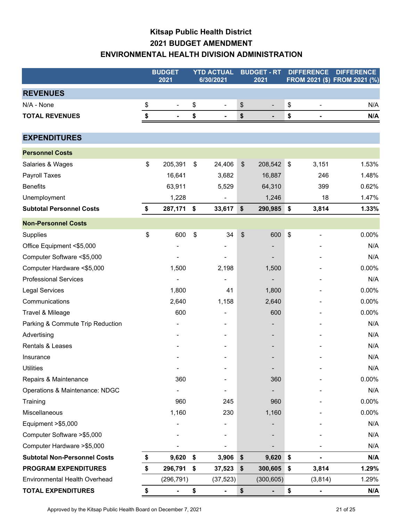# **Kitsap Public Health District 2021 BUDGET AMENDMENT ENVIRONMENTAL HEALTH DIVISION ADMINISTRATION**

|                                      | <b>BUDGET</b><br>2021              | <b>YTD ACTUAL</b><br>6/30/2021 |               | <b>BUDGET - RT</b><br>2021 |                           | <b>DIFFERENCE</b>        | <b>DIFFERENCE</b><br>FROM 2021 (\$) FROM 2021 (%) |
|--------------------------------------|------------------------------------|--------------------------------|---------------|----------------------------|---------------------------|--------------------------|---------------------------------------------------|
| <b>REVENUES</b>                      |                                    |                                |               |                            |                           |                          |                                                   |
| N/A - None                           | \$<br>$\overline{a}$               | \$<br>$\blacksquare$           | \$            | $\blacksquare$             | \$                        | $\overline{\phantom{a}}$ | N/A                                               |
| <b>TOTAL REVENUES</b>                | \$<br>$\qquad \qquad \blacksquare$ | \$<br>$\blacksquare$           | \$            | $\blacksquare$             | \$                        | $\blacksquare$           | N/A                                               |
|                                      |                                    |                                |               |                            |                           |                          |                                                   |
| <b>EXPENDITURES</b>                  |                                    |                                |               |                            |                           |                          |                                                   |
| <b>Personnel Costs</b>               |                                    |                                |               |                            |                           |                          |                                                   |
| Salaries & Wages                     | \$<br>205,391                      | \$<br>24,406                   | $\frac{1}{2}$ | 208,542                    | \$                        | 3,151                    | 1.53%                                             |
| Payroll Taxes                        | 16,641                             | 3,682                          |               | 16,887                     |                           | 246                      | 1.48%                                             |
| <b>Benefits</b>                      | 63,911                             | 5,529                          |               | 64,310                     |                           | 399                      | 0.62%                                             |
| Unemployment                         | 1,228                              |                                |               | 1,246                      |                           | 18                       | 1.47%                                             |
| <b>Subtotal Personnel Costs</b>      | \$<br>287,171                      | \$<br>33,617                   | \$            | 290,985                    | ∣\$                       | 3,814                    | 1.33%                                             |
| <b>Non-Personnel Costs</b>           |                                    |                                |               |                            |                           |                          |                                                   |
| Supplies                             | \$<br>600                          | \$<br>34                       | \$            | 600                        | $\boldsymbol{\mathsf{S}}$ | $\overline{\phantom{a}}$ | 0.00%                                             |
| Office Equipment <\$5,000            |                                    |                                |               |                            |                           |                          | N/A                                               |
| Computer Software <\$5,000           |                                    |                                |               |                            |                           |                          | N/A                                               |
| Computer Hardware <\$5,000           | 1,500                              | 2,198                          |               | 1,500                      |                           |                          | 0.00%                                             |
| <b>Professional Services</b>         |                                    |                                |               |                            |                           |                          | N/A                                               |
| <b>Legal Services</b>                | 1,800                              | 41                             |               | 1,800                      |                           |                          | 0.00%                                             |
| Communications                       | 2,640                              | 1,158                          |               | 2,640                      |                           |                          | 0.00%                                             |
| Travel & Mileage                     | 600                                |                                |               | 600                        |                           |                          | 0.00%                                             |
| Parking & Commute Trip Reduction     |                                    |                                |               |                            |                           |                          | N/A                                               |
| Advertising                          |                                    |                                |               |                            |                           |                          | N/A                                               |
| Rentals & Leases                     |                                    |                                |               |                            |                           |                          | N/A                                               |
| Insurance                            |                                    |                                |               |                            |                           |                          | N/A                                               |
| <b>Utilities</b>                     | ٠                                  |                                |               |                            |                           |                          | N/A                                               |
| Repairs & Maintenance                | 360                                |                                |               | 360                        |                           |                          | 0.00%                                             |
| Operations & Maintenance: NDGC       |                                    |                                |               |                            |                           |                          | N/A                                               |
| Training                             | 960                                | 245                            |               | 960                        |                           |                          | 0.00%                                             |
| Miscellaneous                        | 1,160                              | 230                            |               | 1,160                      |                           |                          | 0.00%                                             |
| Equipment >\$5,000                   |                                    |                                |               |                            |                           |                          | N/A                                               |
| Computer Software > \$5,000          |                                    |                                |               |                            |                           |                          | N/A                                               |
| Computer Hardware > \$5,000          |                                    |                                |               |                            |                           |                          | N/A                                               |
| <b>Subtotal Non-Personnel Costs</b>  | \$<br>9,620                        | \$<br>3,906                    | \$            | 9,620                      | \$                        |                          | N/A                                               |
| <b>PROGRAM EXPENDITURES</b>          | \$<br>296,791                      | \$<br>37,523                   | \$            | 300,605                    | $\sqrt{2}$                | 3,814                    | 1.29%                                             |
| <b>Environmental Health Overhead</b> | (296, 791)                         | (37, 523)                      |               | (300, 605)                 |                           | (3,814)                  | 1.29%                                             |
| <b>TOTAL EXPENDITURES</b>            | \$<br>$\blacksquare$               | \$<br>$\blacksquare$           | \$            | $\blacksquare$             | \$                        | $\blacksquare$           | N/A                                               |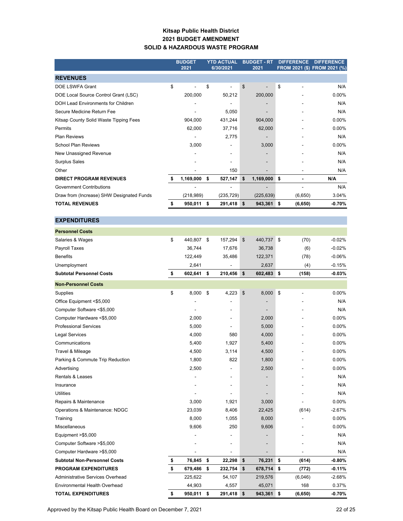### **Kitsap Public Health District 2021 BUDGET AMENDMENT SOLID & HAZARDOUS WASTE PROGRAM**

|                                           | <b>BUDGET</b>   |    | <b>YTD ACTUAL</b> | <b>BUDGET - RT</b> | <b>DIFFERENCE</b> | <b>DIFFERENCE</b>            |
|-------------------------------------------|-----------------|----|-------------------|--------------------|-------------------|------------------------------|
|                                           | 2021            |    | 6/30/2021         | 2021               |                   | FROM 2021 (\$) FROM 2021 (%) |
| <b>REVENUES</b>                           |                 |    |                   |                    |                   |                              |
| <b>DOE LSWFA Grant</b>                    | \$              | \$ | ÷                 | \$                 | \$                | N/A                          |
| DOE Local Source Control Grant (LSC)      | 200.000         |    | 50,212            | 200,000            |                   | 0.00%                        |
| <b>DOH Lead Environments for Children</b> |                 |    |                   |                    |                   | N/A                          |
| Secure Medicine Return Fee                |                 |    | 5,050             |                    |                   | N/A                          |
| Kitsap County Solid Waste Tipping Fees    | 904,000         |    | 431,244           | 904,000            |                   | $0.00\%$                     |
| Permits                                   | 62,000          |    | 37,716            | 62,000             |                   | 0.00%                        |
| <b>Plan Reviews</b>                       |                 |    | 2,775             |                    |                   | N/A                          |
| <b>School Plan Reviews</b>                | 3,000           |    |                   | 3,000              |                   | 0.00%                        |
| New Unassigned Revenue                    |                 |    | $\blacksquare$    |                    |                   | N/A                          |
| <b>Surplus Sales</b>                      |                 |    |                   |                    |                   | N/A                          |
| Other                                     |                 |    | 150               |                    |                   | N/A                          |
| <b>DIRECT PROGRAM REVENUES</b>            | \$<br>1,169,000 | \$ | 527,147           | \$<br>1,169,000    | \$                | N/A                          |
| <b>Government Contributions</b>           |                 |    | ۰                 |                    |                   | N/A                          |
| Draw from (Increase) SHW Designated Funds | (218,989)       |    | (235, 729)        | (225, 639)         | (6,650)           | 3.04%                        |
| <b>TOTAL REVENUES</b>                     | \$<br>950,011   | s. | $291,418$ \$      | 943,361 \$         | (6,650)           | $-0.70%$                     |
|                                           |                 |    |                   |                    |                   |                              |
| <b>EXPENDITURES</b>                       |                 |    |                   |                    |                   |                              |
| <b>Personnel Costs</b>                    |                 |    |                   |                    |                   |                              |
| Salaries & Wages                          | \$<br>440,807   | \$ | 157,294           | \$<br>440,737      | \$<br>(70)        | $-0.02%$                     |
| Payroll Taxes                             | 36,744          |    | 17,676            | 36,738             | (6)               | $-0.02%$                     |
| <b>Benefits</b>                           | 122,449         |    | 35,486            | 122,371            | (78)              | $-0.06%$                     |
| Unemployment                              | 2,641           |    |                   | 2,637              | (4)               | $-0.15%$                     |
| <b>Subtotal Personnel Costs</b>           | \$<br>602,641   | \$ | 210,456           | \$<br>602,483      | (158)<br>\$       | $-0.03%$                     |

| <b>Non-Personnel Costs</b>          |               |               |               |                |          |
|-------------------------------------|---------------|---------------|---------------|----------------|----------|
| Supplies                            | \$<br>8,000   | \$<br>4,223   | 8,000<br>\$   | \$             | 0.00%    |
| Office Equipment <\$5,000           |               | ٠             |               |                | N/A      |
| Computer Software <\$5,000          |               |               |               |                | N/A      |
| Computer Hardware <\$5,000          | 2,000         | ٠             | 2,000         |                | 0.00%    |
| <b>Professional Services</b>        | 5,000         |               | 5,000         |                | 0.00%    |
| <b>Legal Services</b>               | 4,000         | 580           | 4,000         |                | 0.00%    |
| Communications                      | 5,400         | 1,927         | 5,400         |                | 0.00%    |
| Travel & Mileage                    | 4,500         | 3,114         | 4,500         |                | 0.00%    |
| Parking & Commute Trip Reduction    | 1,800         | 822           | 1,800         |                | 0.00%    |
| Advertising                         | 2,500         |               | 2,500         |                | 0.00%    |
| <b>Rentals &amp; Leases</b>         |               |               |               |                | N/A      |
| Insurance                           |               |               |               |                | N/A      |
| <b>Utilities</b>                    |               | ۰             |               |                | N/A      |
| Repairs & Maintenance               | 3,000         | 1,921         | 3,000         |                | 0.00%    |
| Operations & Maintenance: NDGC      | 23,039        | 8,406         | 22,425        | (614)          | $-2.67%$ |
| Training                            | 8,000         | 1,055         | 8,000         |                | 0.00%    |
| Miscellaneous                       | 9,606         | 250           | 9,606         |                | 0.00%    |
| Equipment >\$5,000                  |               |               |               |                | N/A      |
| Computer Software >\$5,000          |               |               |               |                | N/A      |
| Computer Hardware > \$5,000         |               |               |               |                | N/A      |
| <b>Subtotal Non-Personnel Costs</b> | \$<br>76,845  | \$<br>22,298  | 76,231<br>\$  | \$<br>(614)    | $-0.80%$ |
| <b>PROGRAM EXPENDITURES</b>         | \$<br>679,486 | \$<br>232,754 | \$<br>678,714 | \$<br>(772)    | $-0.11%$ |
| Administrative Services Overhead    | 225,622       | 54,107        | 219,576       | (6,046)        | $-2.68%$ |
| Environmental Health Overhead       | 44,903        | 4,557         | 45,071        | 168            | 0.37%    |
| <b>TOTAL EXPENDITURES</b>           | \$<br>950,011 | \$<br>291,418 | \$<br>943,361 | \$<br>(6, 650) | $-0.70%$ |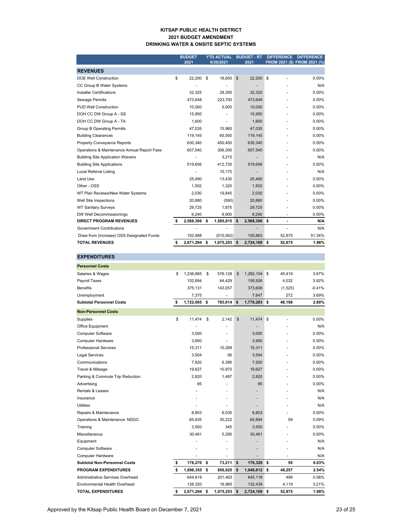#### **KITSAP PUBLIC HEALTH DISTRICT 2021 BUDGET AMENDMENT DRINKING WATER & ONSITE SEPTIC SYSTEMS**

|                                             | <b>BUDGET</b> |           |    | <b>YTD ACTUAL</b> |    | <b>BUDGET - RT</b> | <b>DIFFERENCE</b> | <b>DIFFERENCE</b>            |
|---------------------------------------------|---------------|-----------|----|-------------------|----|--------------------|-------------------|------------------------------|
|                                             |               | 2021      |    | 6/30/2021         |    | 2021               |                   | FROM 2021 (\$) FROM 2021 (%) |
| <b>REVENUES</b>                             |               |           |    |                   |    |                    |                   |                              |
| <b>DOE Well Construction</b>                | \$            | 22,200    | \$ | 18,650            | \$ | 22,200 \$          |                   | 0.00%                        |
| CC Group B Water Systems                    |               |           |    |                   |    |                    |                   | N/A                          |
| <b>Installer Certifications</b>             |               | 32,325    |    | 28,300            |    | 32,325             |                   | $0.00\%$                     |
| Sewage Permits                              |               | 473,648   |    | 223,700           |    | 473,648            |                   | 0.00%                        |
| <b>PUD Well Construction</b>                |               | 10.000    |    | 5,000             |    | 10,000             |                   | $0.00\%$                     |
| DOH CC DW Group A - SS                      |               | 15,950    |    |                   |    | 15,950             |                   | $0.00\%$                     |
| DOH CC DW Group A - TA                      |               | 1.600     |    | ٠                 |    | 1,600              |                   | $0.00\%$                     |
| <b>Group B Operating Permits</b>            |               | 47,035    |    | 15,980            |    | 47,035             |                   | $0.00\%$                     |
| <b>Building Clearances</b>                  |               | 119,145   |    | 65,550            |    | 119,145            |                   | $0.00\%$                     |
| <b>Property Conveyance Reports</b>          |               | 630,340   |    | 450,450           |    | 630,340            |                   | 0.00%                        |
| Operations & Maintenance Annual Report Fees |               | 607,540   |    | 306,300           |    | 607,540            |                   | 0.00%                        |
| <b>Building Site Application Waivers</b>    |               |           |    | 3,215             |    |                    |                   | N/A                          |
| <b>Building Site Applications</b>           |               | 519,656   |    | 412,720           |    | 519,656            |                   | 0.00%                        |
| Local Referral Listing                      |               |           |    | 10,170            |    | ٠                  |                   | N/A                          |
| Land Use                                    |               | 25.490    |    | 13,430            |    | 25,490             |                   | 0.00%                        |
| Other - OSS                                 |               | 1,502     |    | 1,320             |    | 1,502              |                   | 0.00%                        |
| WT Plan Reviews/New Water Systems           |               | 2,030     |    | 19,845            |    | 2,030              |                   | 0.00%                        |
| Well Site Inspections                       |               | 20,880    |    | (590)             |    | 20,880             |                   | 0.00%                        |
| <b>WT Sanitary Surveys</b>                  |               | 29.725    |    | 1.875             |    | 29,725             |                   | 0.00%                        |
| DW Well Decommissionings                    |               | 9,240     |    | 9,900             |    | 9,240              |                   | 0.00%                        |
| <b>DIRECT PROGRAM REVENUES</b>              | \$            | 2,568,306 | -S | 1,585,815         | s  | 2,568,306          | \$                | N/A                          |
| <b>Government Contributions</b>             |               |           |    | ä,                |    |                    |                   | N/A                          |
| Draw from (Increase) OSS Designated Funds   |               | 102,988   |    | (510, 562)        |    | 155,863            | 52,875            | 51.34%                       |
| <b>TOTAL REVENUES</b>                       | \$            | 2,671,294 | \$ | 1,075,253 \$      |    | 2,724,169 \$       | 52,875            | 1.98%                        |

| <b>EXPENDITURES</b>                  |                 |                          |                    |    |         |          |
|--------------------------------------|-----------------|--------------------------|--------------------|----|---------|----------|
| <b>Personnel Costs</b>               |                 |                          |                    |    |         |          |
| Salaries & Wages                     | \$<br>1,236,685 | \$<br>576,128            | \$<br>1,282,104    | \$ | 45,419  | 3.67%    |
| Payroll Taxes                        | 102,894         | 64,429                   | 106,926            |    | 4,032   | 3.92%    |
| <b>Benefits</b>                      | 375,131         | 143,057                  | 373,606            |    | (1,525) | $-0.41%$ |
| Unemployment                         | 7,375           |                          | 7,647              |    | 272     | 3.69%    |
| <b>Subtotal Personnel Costs</b>      | \$<br>1,722,085 | \$<br>783,614            | \$<br>1,770,283 \$ |    | 48,198  | 2.80%    |
| <b>Non-Personnel Costs</b>           |                 |                          |                    |    |         |          |
| Supplies                             | \$<br>11,474    | \$<br>2,142              | \$<br>11,474       | \$ | ٠       | $0.00\%$ |
| Office Equipment                     |                 |                          |                    |    |         | N/A      |
| <b>Computer Software</b>             | 3,000           |                          | 3,000              |    |         | $0.00\%$ |
| Computer Hardware                    | 3,900           |                          | 3,900              |    |         | 0.00%    |
| <b>Professional Services</b>         | 15,311          | 10,269                   | 15,311             |    |         | 0.00%    |
| <b>Legal Services</b>                | 3,504           | 56                       | 3,504              |    |         | 0.00%    |
| Communications                       | 7,920           | 6,395                    | 7,920              |    |         | $0.00\%$ |
| Travel & Mileage                     | 19,627          | 10,970                   | 19,627             |    | ٠       | 0.00%    |
| Parking & Commute Trip Reduction     | 2,820           | 1,487                    | 2,820              |    | ä,      | 0.00%    |
| Advertising                          | 95              | ÷,                       | 95                 |    |         | 0.00%    |
| <b>Rentals &amp; Leases</b>          |                 |                          |                    |    |         | N/A      |
| Insurance                            |                 | ä,                       | ٠                  |    |         | N/A      |
| Utilities                            |                 |                          |                    |    |         | N/A      |
| Repairs & Maintenance                | 8,803           | 6,035                    | 8,803              |    |         | 0.00%    |
| Operations & Maintenance: NDGC       | 65,835          | 30,222                   | 65,894             |    | 59      | 0.09%    |
| Training                             | 3,500           | 345                      | 3,500              |    |         | 0.00%    |
| Miscellaneous                        | 30,481          | 5,290                    | 30,481             |    |         | 0.00%    |
| Equipment                            |                 | ä,                       | ٠                  |    |         | N/A      |
| <b>Computer Software</b>             |                 | ä,                       | ٠                  |    |         | N/A      |
| <b>Computer Hardware</b>             |                 | $\overline{\phantom{a}}$ |                    |    |         | N/A      |
| <b>Subtotal Non-Personnel Costs</b>  | \$<br>176,270   | \$<br>73,211             | \$<br>176,329      | \$ | 59      | 0.03%    |
| <b>PROGRAM EXPENDITURES</b>          | \$<br>1,898,355 | \$<br>856,825            | \$<br>1,946,612    | s  | 48,257  | 2.54%    |
| Administrative Services Overhead     | 644,619         | 201,463                  | 645,118            |    | 499     | 0.08%    |
| <b>Environmental Health Overhead</b> | 128,320         | 16,965                   | 132,439            |    | 4,119   | 3.21%    |
| <b>TOTAL EXPENDITURES</b>            | \$<br>2,671,294 | \$<br>1,075,253          | \$<br>2,724,169    | \$ | 52,875  | 1.98%    |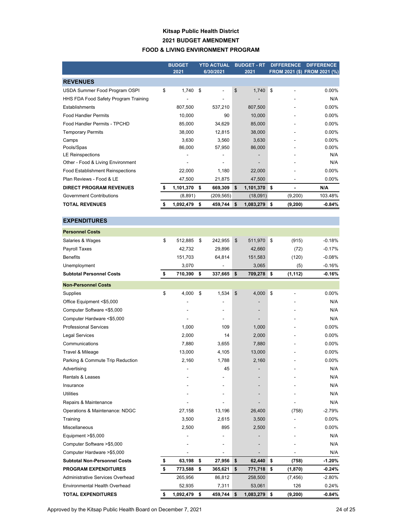### **Kitsap Public Health District 2021 BUDGET AMENDMENT FOOD & LIVING ENVIRONMENT PROGRAM**

|                                         | <b>BUDGET</b>    | <b>YTD ACTUAL</b> | <b>BUDGET - RT</b> | <b>DIFFERENCE</b> |                | <b>DIFFERENCE</b>            |
|-----------------------------------------|------------------|-------------------|--------------------|-------------------|----------------|------------------------------|
|                                         | 2021             | 6/30/2021         | 2021               |                   |                | FROM 2021 (\$) FROM 2021 (%) |
| <b>REVENUES</b>                         |                  |                   |                    |                   |                |                              |
| USDA Summer Food Program OSPI           | \$<br>1,740      | \$                | \$<br>1,740        | \$                |                | $0.00\%$                     |
| HHS FDA Food Safety Program Training    |                  |                   |                    |                   |                | N/A                          |
| Establishments                          | 807,500          | 537,210           | 807,500            |                   |                | $0.00\%$                     |
| <b>Food Handler Permits</b>             | 10,000           | 90                | 10,000             |                   |                | 0.00%                        |
| Food Handler Permits - TPCHD            | 85,000           | 34,629            | 85,000             |                   |                | 0.00%                        |
| <b>Temporary Permits</b>                | 38,000           | 12,815            | 38,000             |                   |                | 0.00%                        |
| Camps                                   | 3,630            | 3,560             | 3,630              |                   |                | 0.00%                        |
| Pools/Spas                              | 86,000           | 57,950            | 86,000             |                   |                | 0.00%                        |
| <b>LE Reinspections</b>                 |                  |                   |                    |                   |                | N/A                          |
| Other - Food & Living Environment       |                  |                   |                    |                   |                | N/A                          |
| <b>Food Establishment Reinspections</b> | 22,000           | 1,180             | 22,000             |                   |                | 0.00%                        |
| Plan Reviews - Food & LE                | 47,500           | 21,875            | 47,500             |                   | $\overline{a}$ | 0.00%                        |
| <b>DIRECT PROGRAM REVENUES</b>          | \$<br>1,101,370  | \$<br>669,309     | \$<br>1,101,370    | \$                | $\blacksquare$ | N/A                          |
| <b>Government Contributions</b>         | (8,891)          | (209, 565)        | (18,091)           |                   | (9,200)        | 103.48%                      |
| <b>TOTAL REVENUES</b>                   | \$<br>1,092,479  | \$<br>459,744     | \$<br>1,083,279    | \$                | (9,200)        | $-0.84%$                     |
| <b>EXPENDITURES</b>                     |                  |                   |                    |                   |                |                              |
|                                         |                  |                   |                    |                   |                |                              |
| <b>Personnel Costs</b>                  |                  |                   |                    |                   |                |                              |
| Salaries & Wages                        | \$<br>512,885    | \$<br>242,955     | \$<br>511,970      | \$                | (915)          | $-0.18%$                     |
| Payroll Taxes                           | 42,732           | 29,896            | 42,660             |                   | (72)           | $-0.17%$                     |
| <b>Benefits</b>                         | 151,703          | 64,814            | 151,583            |                   | (120)          | $-0.08%$                     |
| Unemployment                            | 3,070            |                   | 3,065              |                   | (5)            | $-0.16%$                     |
| <b>Subtotal Personnel Costs</b>         | \$<br>710,390    | \$<br>337,665     | \$<br>709,278      | \$                | (1, 112)       | $-0.16%$                     |
| <b>Non-Personnel Costs</b>              |                  |                   |                    |                   |                |                              |
| Supplies                                | \$<br>4,000      | \$<br>1,534       | \$<br>4,000        | \$                |                | 0.00%                        |
| Office Equipment <\$5,000               |                  | ÷,                |                    |                   |                | N/A                          |
| Computer Software <\$5,000              |                  |                   |                    |                   |                | N/A                          |
| Computer Hardware <\$5,000              |                  | ÷,                |                    |                   |                | N/A                          |
| <b>Professional Services</b>            | 1,000            | 109               | 1,000              |                   |                | $0.00\%$                     |
| Legal Services                          | 2,000            | 14                | 2,000              |                   |                | 0.00%                        |
| Communications                          | 7,880            | 3,655             | 7,880              |                   |                | 0.00%                        |
| Travel & Mileage                        | 13,000           | 4,105             | 13,000             |                   |                | 0.00%                        |
| Parking & Commute Trip Reduction        | 2,160            | 1,788             | 2,160              |                   |                | 0.00%                        |
| Advertising                             |                  | 45                |                    |                   |                | N/A                          |
| Rentals & Leases                        |                  |                   |                    |                   |                | N/A                          |
| Insurance                               |                  |                   |                    |                   |                | N/A                          |
| <b>Utilities</b>                        |                  |                   |                    |                   |                | N/A                          |
| Repairs & Maintenance                   |                  |                   |                    |                   |                | N/A                          |
| Operations & Maintenance: NDGC          | 27,158           | 13,196            | 26,400             |                   | (758)          | -2.79%                       |
| Training                                | 3,500            | 2,615             | 3,500              |                   |                | $0.00\%$                     |
| Miscellaneous                           | 2,500            | 895               | 2,500              |                   |                | $0.00\%$                     |
| Equipment >\$5,000                      |                  | -                 |                    |                   |                | N/A                          |
| Computer Software >\$5,000              |                  | -                 |                    |                   |                | N/A                          |
| Computer Hardware >\$5,000              |                  | -                 |                    |                   |                | N/A                          |
| <b>Subtotal Non-Personnel Costs</b>     | \$<br>63,198     | \$<br>27,956      | \$<br>62,440       | \$                | (758)          | $-1.20%$                     |
| <b>PROGRAM EXPENDITURES</b>             | \$<br>773,588 \$ | 365,621           | \$<br>771,718 \$   |                   | (1,870)        | $-0.24%$                     |

Administrative Services Overhead 265,956 86,812 258,500 (7,456) -2.80% Environmental Health Overhead 52,935 7,311 53,061 126 0.24% **TOTAL EXPENDITURES \$ 1,092,479 \$ 459,744 \$ 1,083,279 \$ (9,200) -0.84%**